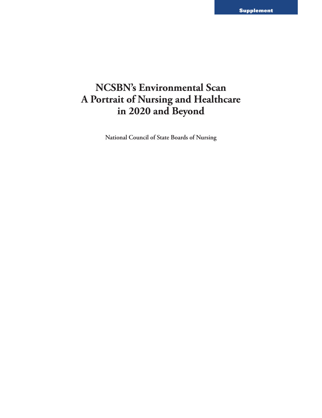## **NCSBN's Environmental Scan A Portrait of Nursing and Healthcare in 2020 and Beyond**

**National Council of State Boards of Nursing**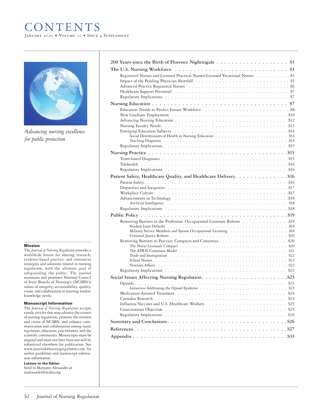## **CONTENTS** JANUARY 2020 • VOLUME 10 • ISSUE 4 SUPPLEMENT



*Advancing nursing excellence for public protection*

#### Mission

The *Journal of Nursing Regulation* provides a worldwide forum for sharing research, evidence-based practice, and innovative strategies and solutions related to nursing regulation, with the ultimate goal of safeguarding the public. The journal maintains and promotes National Council of State Boards of Nursing's (NCSBN's) values of integrity, accountability, quality, vision, and collaboration in meeting readers' knowledge needs.

#### Manuscript Information

The *Journal of Nursing Regulation* accepts timely articles that may advance the science of nursing regulation, promote the mission and vision of NCSBN, and enhance communication and collaboration among nurse regulators, educators, practitioners, and the scientific community. Manuscripts must be original and must not have been nor will be submitted elsewhere for publication. See www.journalofnursingregulaton.com for author guidelines and manuscript submission information.

#### Letters to the Editor

Send to Maryann Alexander at malexander@ncsbn.org.

| Registered Nurses and Licensed Practical Nurses/Licensed Vocational Nurses 33                                                                                                                                                  |
|--------------------------------------------------------------------------------------------------------------------------------------------------------------------------------------------------------------------------------|
|                                                                                                                                                                                                                                |
|                                                                                                                                                                                                                                |
|                                                                                                                                                                                                                                |
|                                                                                                                                                                                                                                |
|                                                                                                                                                                                                                                |
|                                                                                                                                                                                                                                |
|                                                                                                                                                                                                                                |
|                                                                                                                                                                                                                                |
|                                                                                                                                                                                                                                |
|                                                                                                                                                                                                                                |
| Teaching Diagnosis resources in the set of the set of the set of the set of the set of the set of the set of the set of the set of the set of the set of the set of the set of the set of the set of the set of the set of the |
|                                                                                                                                                                                                                                |
|                                                                                                                                                                                                                                |
|                                                                                                                                                                                                                                |
|                                                                                                                                                                                                                                |
|                                                                                                                                                                                                                                |
|                                                                                                                                                                                                                                |
|                                                                                                                                                                                                                                |
|                                                                                                                                                                                                                                |
|                                                                                                                                                                                                                                |
|                                                                                                                                                                                                                                |
|                                                                                                                                                                                                                                |
|                                                                                                                                                                                                                                |
|                                                                                                                                                                                                                                |
|                                                                                                                                                                                                                                |
|                                                                                                                                                                                                                                |
|                                                                                                                                                                                                                                |
|                                                                                                                                                                                                                                |
|                                                                                                                                                                                                                                |
|                                                                                                                                                                                                                                |
|                                                                                                                                                                                                                                |
|                                                                                                                                                                                                                                |
|                                                                                                                                                                                                                                |
|                                                                                                                                                                                                                                |
|                                                                                                                                                                                                                                |
|                                                                                                                                                                                                                                |
|                                                                                                                                                                                                                                |
|                                                                                                                                                                                                                                |
|                                                                                                                                                                                                                                |
|                                                                                                                                                                                                                                |
|                                                                                                                                                                                                                                |
|                                                                                                                                                                                                                                |
|                                                                                                                                                                                                                                |
|                                                                                                                                                                                                                                |
|                                                                                                                                                                                                                                |
|                                                                                                                                                                                                                                |
|                                                                                                                                                                                                                                |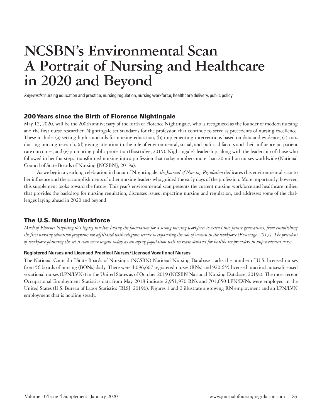# **NCSBN's Environmental Scan A Portrait of Nursing and Healthcare in 2020 and Beyond**

*Keywords:* nursing education and practice, nursing regulation, nursing workforce, healthcare delivery, public policy

## 200 Years since the Birth of Florence Nightingale

May 12, 2020, will be the 200th anniversary of the birth of Florence Nightingale, who is recognized as the founder of modern nursing and the first nurse researcher. Nightingale set standards for the profession that continue to serve as precedents of nursing excellence. These include: (a) setting high standards for nursing education; (b) implementing interventions based on data and evidence; (c) conducting nursing research; (d) giving attention to the role of environmental, social, and political factors and their influence on patient care outcomes; and (e) promoting public protection (Bostridge, 2015). Nightingale's leadership, along with the leadership of those who followed in her footsteps, transformed nursing into a profession that today numbers more than 20 million nurses worldwide (National Council of State Boards of Nursing [NCSBN], 2019a).

As we begin a yearlong celebration in honor of Nightingale, *the Journal of Nursing Regulation* dedicates this environmental scan to her influence and the accomplishments of other nursing leaders who guided the early days of the profession. More importantly, however, this supplement looks toward the future. This year's environmental scan presents the current nursing workforce and healthcare milieu that provides the backdrop for nursing regulation, discusses issues impacting nursing and regulation, and addresses some of the challenges laying ahead in 2020 and beyond.

## The U.S. Nursing Workforce

*Much of Florence Nightingale's legacy involves laying the foundation for a strong nursing workforce to extend into future generations, from establishing the first nursing education programs not affiliated with religious service to expanding the role of women in the workforce (Bostridge, 2015). The precedent of workforce planning she set is even more urgent today as an aging population will increase demand for healthcare providers in unprecedented ways.*

#### **Registered Nurses and Licensed Practical Nurses/Licensed Vocational Nurses**

The National Council of State Boards of Nursing's (NCSBN) National Nursing Database tracks the number of U.S. licensed nurses from 56 boards of nursing (BONs) daily. There were 4,096,607 registered nurses (RNs) and 920,655 licensed practical nurses/licensed vocational nurses (LPN/LVNs) in the United States as of October 2019 (NCSBN National Nursing Database, 2019a). The most recent Occupational Employment Statistics data from May 2018 indicate 2,951,970 RNs and 701,650 LPN/LVNs were employed in the United States (U.S. Bureau of Labor Statistics [BLS], 2019b). Figures 1 and 2 illustrate a growing RN employment and an LPN/LVN employment that is holding steady.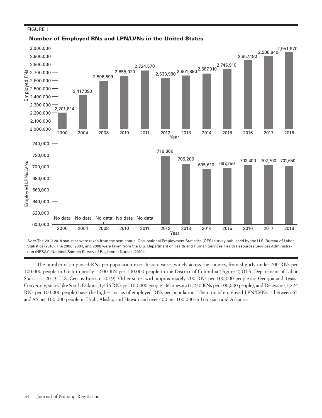

## Number of Employed RNs and LPN/LVNs in the United States

*Note.* The 2010-2018 statistics were taken from the semiannual Occupational Employment Statistics (OES) survey published by the U.S. Bureau of Labor Statistics (2018). The 2000, 2004, and 2008 were taken from the U.S. Department of Health and Human Services Health Resources Services Administration (HRSA)'s National Sample Survey of Registered Nurses (2010).

The number of employed RNs per population in each state varies widely across the country, from slightly under 700 RNs per 100,000 people in Utah to nearly 1,600 RN per 100,000 people in the District of Columbia (Figure 2) (U.S. Department of Labor Statistics, 2019; U.S. Census Bureau, 2019). Other states with approximately 700 RNs per 100,000 people are Georgia and Texas. Conversely, states like South Dakota (1,446 RNs per 100,000 people), Minnesota (1,230 RNs per 100,000 people), and Delaware (1,224 RNs per 100,000 people) have the highest ratios of employed RNs per population. The ratio of employed LPN/LVNs is between 65 and 85 per 100,000 people in Utah, Alaska, and Hawaii and over 400 per 100,000 in Louisiana and Arkansas.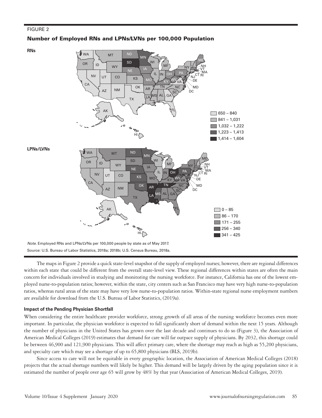## Number of Employed RNs and LPNs/LVNs per 100,000 Population



The maps in Figure 2 provide a quick state-level snapshot of the supply of employed nurses; however, there are regional differences within each state that could be different from the overall state-level view. These regional differences within states are often the main concern for individuals involved in studying and monitoring the nursing workforce. For instance, California has one of the lowest employed nurse-to-population ratios; however, within the state, city centers such as San Francisco may have very high nurse-to-population ratios, whereas rural areas of the state may have very low nurse-to-population ratios. Within-state regional nurse employment numbers are available for download from the U.S. Bureau of Labor Statistics, (2019a).

#### **Impact of the Pending Physician Shortfall**

When considering the entire healthcare provider workforce, strong growth of all areas of the nursing workforce becomes even more important. In particular, the physician workforce is expected to fall significantly short of demand within the next 15 years. Although the number of physicians in the United States has grown over the last decade and continues to do so (Figure 3), the Association of American Medical Colleges (2019) estimates that demand for care will far outpace supply of physicians. By 2032, this shortage could be between 46,900 and 121,900 physicians. This will affect primary care, where the shortage may reach as high as 55,200 physicians, and specialty care which may see a shortage of up to 65,800 physicians (BLS, 2019b).

Since access to care will not be equitable in every geographic location, the Association of American Medical Colleges (2018) projects that the actual shortage numbers will likely be higher. This demand will be largely driven by the aging population since it is estimated the number of people over age 65 will grow by 48% by that year (Association of American Medical Colleges, 2019).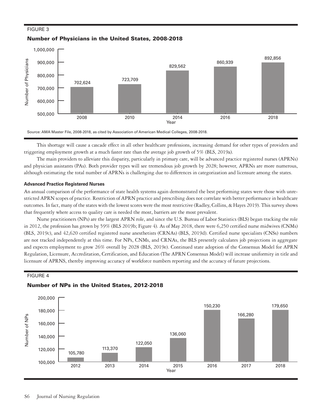## Number of Physicians in the United States, 2008-2018



Source: AMA Master File, 2008-2018, as cited by Association of American Medical Colleges, 2008-2018.

This shortage will cause a cascade effect in all other healthcare professions, increasing demand for other types of providers and triggering employment growth at a much faster rate than the average job growth of 5% (BLS, 2019a).

The main providers to alleviate this disparity, particularly in primary care, will be advanced practice registered nurses (APRNs) and physician assistants (PAs). Both provider types will see tremendous job growth by 2028; however, APRNs are more numerous, although estimating the total number of APRNs is challenging due to differences in categorization and licensure among the states.

#### **Advanced Practice Registered Nurses**

An annual comparison of the performance of state health systems again demonstrated the best performing states were those with unrestricted APRN scopes of practice. Restriction of APRN practice and prescribing does not correlate with better performance in healthcare outcomes. In fact, many of the states with the lowest scores were the most restrictive (Radley, Collins, & Hayes 2019). This survey shows that frequently where access to quality care is needed the most, barriers are the most prevalent.

Nurse practitioners (NPs) are the largest APRN role, and since the U.S. Bureau of Labor Statistics (BLS) began tracking the role in 2012, the profession has grown by 59% (BLS 2019b; Figure 4). As of May 2018, there were 6,250 certified nurse midwives (CNMs) (BLS, 2019c), and 42,620 certified registered nurse anesthetists (CRNAs) (BLS, 2019d). Certified nurse specialists (CNSs) numbers are not tracked independently at this time. For NPs, CNMs, and CRNAs, the BLS presently calculates job projections in aggregate and expects employment to grow 26% overall by 2028 (BLS, 2019e). Continued state adoption of the Consensus Model for APRN Regulation, Licensure, Accreditation, Certification, and Education (The APRN Consensus Model) will increase uniformity in title and licensure of APRNS, thereby improving accuracy of workforce numbers reporting and the accuracy of future projections.

## FIGURE 4

## Number of NPs in the United States, 2012-2018

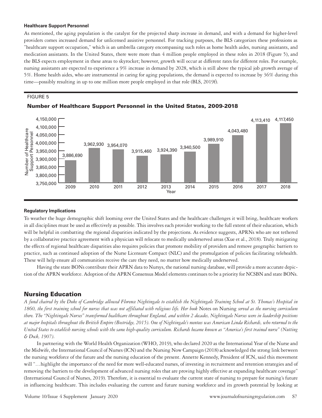#### **Healthcare Support Personnel**

As mentioned, the aging population is the catalyst for the projected sharp increase in demand, and with a demand for higher-level providers comes increased demand for unlicensed assistive personnel. For tracking purposes, the BLS categorizes these professions as "healthcare support occupation," which is an umbrella category encompassing such roles as home health aides, nursing assistants, and medication assistants. In the United States, there were more than 4 million people employed in these roles in 2018 (Figure 5), and the BLS expects employment in these areas to skyrocket; however, growth will occur at different rates for different roles. For example, nursing assistants are expected to experience a 9% increase in demand by 2028, which is still above the typical job growth average of 5%. Home health aides, who are instrumental in caring for aging populations, the demand is expected to increase by 36% during this time—possibly resulting in up to one million more people employed in that role (BLS, 2019f).

## FIGURE 5



## Number of Healthcare Support Personnel in the United States, 2009-2018

#### **Regulatory Implications**

To weather the huge demographic shift looming over the United States and the healthcare challenges it will bring, healthcare workers in all disciplines must be used as effectively as possible. This involves each provider working to the full extent of their education, which will be helpful in combatting the regional disparities indicated by the projections. As evidence suggests, APRNs who are not tethered by a collaborative practice agreement with a physician will relocate to medically underserved areas (Xue et al., 2018). Truly mitigating the effects of regional healthcare disparities also requires policies that promote mobility of providers and remove geographic barriers to practice, such as continued adoption of the Nurse Licensure Compact (NLC) and the promulgation of policies facilitating telehealth. These will help ensure all communities receive the care they need, no matter how medically underserved.

Having the state BONs contribute their APRN data to Nursys, the national nursing database, will provide a more accurate depiction of the APRN workforce. Adoption of the APRN Consensus Model elements continues to be a priority for NCSBN and state BONs.

## Nursing Education

*A fund chaired by the Duke of Cambridge allowed Florence Nightingale to establish the Nightingale Training School at St. Thomas's Hospital in 1860, the first training school for nurses that was not affiliated with religious life. Her book* Notes on Nursing *served as the nursing curriculum there. The "Nightingale Nurses" transformed healthcare throughout England, and within 2 decades, Nightingale Nurses were in leadership positions at major hospitals throughout the British Empire (Bostridge, 2015). One of Nightingale's mentees was American Linda Richards, who returned to the United States to establish nursing schools with the same high-quality curriculum. Richards became known as "America's first trained nurse" (Nutting & Dock, 1907).*

In partnering with the World Health Organization (WHO, 2019), who declared 2020 as the International Year of the Nurse and the Midwife, the International Council of Nurses (ICN) and the Nursing Now Campaign (2018) acknowledged the strong link between the nursing workforce of the future and the nursing education of the present. Annette Kennedy, President of ICN, said this movement will "…highlight the importance of the need for more well-educated nurses, of investing in recruitment and retention strategies and of removing the barriers to the development of advanced nursing roles that are proving highly effective at expanding healthcare coverage" (International Council of Nurses, 2019). Therefore, it is essential to evaluate the current state of nursing to prepare for nursing's future in influencing healthcare. This includes evaluating the current and future nursing workforce and its growth potential by looking at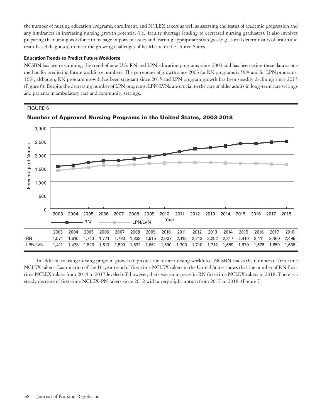the number of nursing education programs, enrollment, and NCLEX takers as well as assessing the status of academic progression and any hindrances in increasing nursing growth potential (i.e., faculty shortage lending to decreased nursing graduates). It also involves preparing the nursing workforce to manage important issues and learning appropriate strategies (e.g., social determinants of health and team-based diagnoses) to meet the growing challenges of healthcare in the United States.

## **Education Trends to Predict Future Workforce**

NCSBN has been examining the trend of new U.S. RN and LPN education programs since 2003 and has been using these data as one method for predicting future workforce numbers. The percentage of growth since 2003 for RN programs is 59% and for LPN programs, 16%, although, RN program growth has been stagnant since 2015 and LPN program growth has been steadily declining since 2013 (Figure 6). Despite the decreasing number of LPN programs, LPN/LVNs are crucial to the care of older adults in long-term care settings and patients in ambulatory care and community settings.

## FIGURE 6





In addition to using nursing program growth to predict the future nursing workforce, NCSBN tracks the numbers of first-time NCLEX takers. Examination of the 10-year trend of first-time NCLEX takers in the United States shows that the number of RN firsttime NCLEX takers from 2014 to 2017 leveled off; however, there was an increase in RN first-time NCLEX takers in 2018. There is a steady decrease of first-time NCLEX-PN takers since 2012 with a very slight upturn from 2017 to 2018. (Figure 7)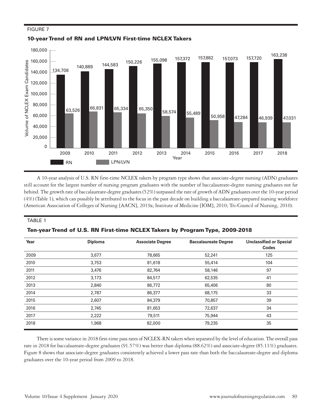

## 10-year Trend of RN and LPN/LVN First-time NCLEX Takers

A 10-year analysis of U.S. RN first-time NCLEX takers by program type shows that associate-degree nursing (ADN) graduates still account for the largest number of nursing program graduates with the number of baccalaureate-degree nursing graduates not far behind. The growth rate of baccalaureate-degree graduates (52%) surpassed the rate of growth of ADN graduates over the 10-year period (4%) (Table 1), which can possibly be attributed to the focus in the past decade on building a baccalaureate-prepared nursing workforce (American Association of Colleges of Nursing [AACN], 2019a; Institute of Medicine [IOM], 2010; Tri-Council of Nursing, 2010).

## TABLE 1

| Year | <b>Diploma</b> | <b>Associate Degree</b> | <b>Baccalaureate Degree</b> | <b>Unclassified or Special</b><br><b>Codes</b> |
|------|----------------|-------------------------|-----------------------------|------------------------------------------------|
| 2009 | 3,677          | 78,665                  | 52,241                      | 125                                            |
| 2010 | 3,753          | 81,618                  | 55,414                      | 104                                            |
| 2011 | 3,476          | 82,764                  | 58,146                      | 97                                             |
| 2012 | 3,173          | 84,517                  | 62,535                      | 41                                             |
| 2013 | 2,840          | 86,772                  | 65,406                      | 80                                             |
| 2014 | 2,787          | 86,377                  | 68,175                      | 33                                             |
| 2015 | 2,607          | 84,379                  | 70,857                      | 39                                             |
| 2016 | 2,745          | 81,653                  | 72,637                      | 34                                             |
| 2017 | 2,222          | 79,511                  | 75,944                      | 43                                             |
| 2018 | 1,968          | 82,000                  | 79,235                      | 35                                             |

There is some variance in 2018 first-time pass rates of NCLEX-RN takers when separated by the level of education. The overall pass rate in 2018 for baccalaureate-degree graduates (91.57%) was better than diploma (88.62%) and associate-degree (85.11%) graduates. Figure 8 shows that associate-degree graduates consistently achieved a lower pass rate than both the baccalaureate-degree and diploma graduates over the 10-year period from 2009 to 2018.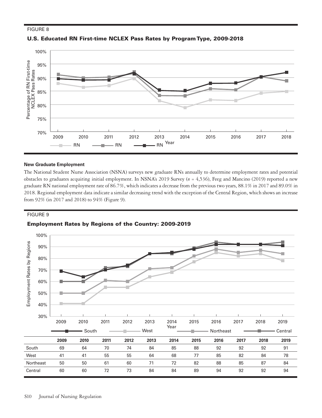



#### **New Graduate Employment**

The National Student Nurse Association (NSNA) surveys new graduate RNs annually to determine employment rates and potential obstacles to graduates acquiring initial employment. In NSNA's 2019 Survey (*n* = 4,536), Feeg and Mancino (2019) reported a new graduate RN national employment rate of 86.7%, which indicates a decrease from the previous two years, 88.1% in 2017 and 89.0% in 2018. Regional employment data indicate a similar decreasing trend with the exception of the Central Region, which shows an increase from 92% (in 2017 and 2018) to 94% (Figure 9).

#### FIGURE 9

## Employment Rates by Regions of the Country: 2009-2019

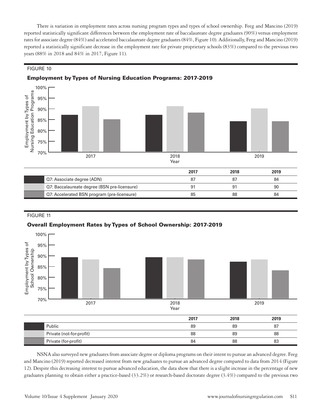There is variation in employment rates across nursing program types and types of school ownership. Feeg and Mancino (2019) reported statistically significant differences between the employment rate of baccalaureate degree graduates (90%) versus employment rates for associate degree (84%) and accelerated baccalaureate degree graduates (84%, Figure 10). Additionally, Feeg and Mancino (2019) reported a statistically significant decrease in the employment rate for private proprietary schools (83%) compared to the previous two years (88% in 2018 and 84% in 2017, Figure 11).

#### FIGURE 10



## Employment by Types of Nursing Education Programs: 2017-2019

## FIGURE 11

## Overall Employment Rates by Types of School Ownership: 2017-2019



NSNA also surveyed new graduates from associate degree or diploma programs on their intent to pursue an advanced degree. Feeg and Mancino (2019) reported decreased interest from new graduates to pursue an advanced degree compared to data from 2014 (Figure 12). Despite this decreasing interest to pursue advanced education, the data show that there is a slight increase in the percentage of new graduates planning to obtain either a practice-based (33.2%) or research-based doctorate degree (3.4%) compared to the previous two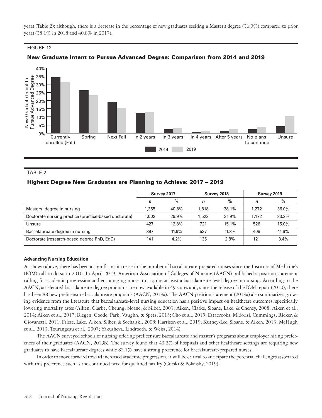years (Table 2); although, there is a decrease in the percentage of new graduates seeking a Master's degree (36.0%) compared to prior years (38.1% in 2018 and 40.8% in 2017).

#### FIGURE 12



## New Graduate Intent to Pursue Advanced Degree: Comparison from 2014 and 2019

## TABLE 2

## Highest Degree New Graduates are Planning to Achieve: 2017 – 2019

|                                                       | Survey 2017 |       | Survey 2018 |       | Survey 2019  |       |
|-------------------------------------------------------|-------------|-------|-------------|-------|--------------|-------|
|                                                       | $\mathbf n$ | $\%$  | $\mathbf n$ | $\%$  | $\mathsf{n}$ | $\%$  |
| Masters' degree in nursing                            | 1,365       | 40.8% | 1,818       | 38.1% | 1,272        | 36.0% |
| Doctorate nursing practice (practice-based doctorate) | 1,002       | 29.9% | 1,522       | 31.9% | 1.172        | 33.2% |
| Unsure                                                | 427         | 12.8% | 721         | 15.1% | 526          | 15.0% |
| Baccalaureate degree in nursing                       | 397         | 11.9% | 537         | 11.3% | 408          | 11.6% |
| Doctorate (research-based degree PhD, EdD)            | 141         | 4.2%  | 135         | 2.8%  | 121          | 3.4%  |

#### **Advancing Nursing Education**

As shown above, there has been a significant increase in the number of baccalaureate-prepared nurses since the Institute of Medicine's (IOM) call to do so in 2010. In April 2019, American Association of Colleges of Nursing (AACN) published a position statement calling for academic progression and encouraging nurses to acquire at least a baccalaureate-level degree in nursing. According to the AACN, accelerated baccalaureate-degree programs are now available in 49 states and, since the release of the IOM report (2010), there has been 88 new prelicensure baccalaureate programs (AACN, 2019a). The AACN position statement (2019a) also summarizes growing evidence from the literature that baccalaureate-level nursing education has a positive impact on healthcare outcomes, specifically lowering mortality rates (Aiken, Clarke, Cheung, Sloane, & Silber, 2003; Aiken, Clarke, Sloane, Lake, & Cheney, 2008; Aiken et al., 2014; Aiken et al., 2017; Blegen, Goode, Park, Vaughn, & Spetz, 2013; Cho et al., 2015; Estabrooks, Midodzi, Cummings, Ricker, & Giovanetti, 2011; Friese, Lake, Aiken, Silber, & Sochalski, 2008; Harrison et al., 2019; Kutney-Lee, Sloane, & Aiken, 2013; McHugh et al., 2013; Tourangeau et al., 2007; Yakusheva, Lindrooth, & Weiss, 2014).

The AACN surveyed schools of nursing offering prelicensure baccalaureate and master's programs about employer hiring preferences of their graduates (AACN, 2019b). The survey found that 43.2% of hospitals and other healthcare settings are requiring new graduates to have baccalaureate degrees while 82.1% have a strong preference for baccalaureate-prepared nurses.

In order to move forward toward increased academic progression, it will be critical to anticipate the potential challenges associated with this preference such as the continued need for qualified faculty (Gorski & Polansky, 2019).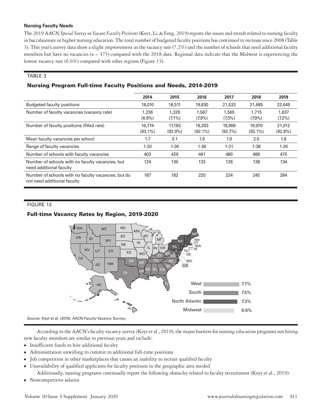## **Nursing Faculty Needs**

The 2019 AACN *Special Survey on Vacant Faculty Positions* (Keyt, Li, & Fang, 2019) reports the issues and trends related to nursing faculty in baccalaureate or higher nursing education. The total number of budgeted faculty positions has continued to increase since 2008 (Table 3). This year's survey data show a slight improvement in the vacancy rate (7.2%) and the number of schools that need additional faculty members but have no vacancies (*n* = 475) compared with the 2018 data. Regional data indicate that the Midwest is experiencing the lowest vacancy rate (6.6%) compared with other regions (Figure 13).

## TABLE 3

## Nursing Program Full-time Faculty Positions and Needs, 2014-2019

|                                                                                    | 2014                 | 2015                 | 2016                 | 2017               | 2018                 | 2019                 |
|------------------------------------------------------------------------------------|----------------------|----------------------|----------------------|--------------------|----------------------|----------------------|
| <b>Budgeted faculty positions</b>                                                  | 18,010               | 18,511               | 19,830               | 21,533             | 21,685               | 22,649               |
| Number of faculty vacancies (vacancy rate)                                         | 1,236<br>$(6.9\%)$   | 1,328<br>$(7.1\%)$   | 1,567<br>$(7.9\%)$   | 1,565<br>$(7.3\%)$ | 1,715<br>$(7.9\%)$   | 1,637<br>$(7.2\%)$   |
| Number of faculty positions (filled rate)                                          | 16,774<br>$(93.1\%)$ | 17,183<br>$(92.9\%)$ | 18,263<br>$(92.1\%)$ | 19,968<br>(92.7%)  | 19,970<br>$(92.1\%)$ | 21,012<br>$(92.8\%)$ |
| Mean faculty vacancies per school                                                  | 1.7                  | 3.1                  | 1.9                  | 1.9                | 2.0                  | 1.8                  |
| Range of faculty vacancies                                                         | $1 - 20$             | $1 - 26$             | $1 - 36$             | $1 - 31$           | $1 - 38$             | $1 - 26$             |
| Number of schools with faculty vacancies                                           | 403                  | 429                  | 461                  | 480                | 488                  | 475                  |
| Number of schools with no faculty vacancies, but<br>need additional faculty        | 124                  | 130                  | 133                  | 128                | 138                  | 134                  |
| Number of schools with no faculty vacancies, but do<br>not need additional faculty | 187                  | 182                  | 220                  | 224                | 245                  | 284                  |

## FIGURE 13

## Full-time Vacancy Rates by Region, 2019-2020



According to the AACN's faculty vacancy survey (Keyt et al., 2019), the major barriers for nursing education programs not hiring new faculty members are similar to previous years and include:

- <sup>⦁</sup> Insufficient funds to hire additional faculty
- <sup>⦁</sup> Administration unwilling to commit to additional full-time positions
- <sup>⦁</sup> Job competition in other marketplaces that causes an inability to recruit qualified faculty
- <sup>⦁</sup> Unavailability of qualified applicants for faculty positions in the geographic area needed
- Additionally, nursing programs continually report the following obstacles related to faculty recruitment (Keyt et al., 2019):
- <sup>⦁</sup> Noncompetitive salaries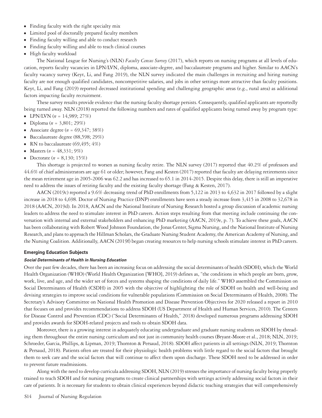- <sup>⦁</sup> Finding faculty with the right specialty mix
- <sup>⦁</sup> Limited pool of doctorally prepared faculty members
- <sup>⦁</sup> Finding faculty willing and able to conduct research
- <sup>⦁</sup> Finding faculty willing and able to teach clinical courses
- <sup>⦁</sup> High faculty workload

The National League for Nursing's (NLN) *Faculty Census Survey* (2017), which reports on nursing programs at all levels of education, reports faculty vacancies in LPN/LVN, diploma, associate-degree, and baccalaureate programs and higher. Similar to AACN's faculty vacancy survey (Keyt, Li, and Fang 2019), the NLN survey indicated the main challenges in recruiting and hiring nursing faculty are not enough qualified candidates, noncompetitive salaries, and jobs in other settings more attractive than faculty positions. Keyt, Li, and Fang (2019) reported decreased institutional spending and challenging geographic areas (e.g., rural area) as additional factors impacting faculty recruitment.

These survey results provide evidence that the nursing faculty shortage persists. Consequently, qualified applicants are reportedly being turned away. NLN (2018) reported the following numbers and rates of qualified applicants being turned away by program type:

- <sup>⦁</sup> LPN/LVN (*n* = 14,989; 27%)
- <sup>⦁</sup> Diploma (*n* = 3,801; 29%)
- <sup>⦁</sup> Associate degree (*n* = 69,347; 38%)
- <sup>⦁</sup> Baccalaureate degree (88,598; 29%)
- RN to baccalaureate  $(69, 495; 4\%)$
- Masters  $(n = 48,331; 9\%)$
- <sup>⦁</sup> Doctorate (*n* = 8,130; 15%)

This shortage is projected to worsen as nursing faculty retire. The NLN survey (2017) reported that 40.2% of professors and 44.6% of chief administrators are age 61 or older; however, Fang and Kesten (2017) reported that faculty are delaying retirements since the mean retirement age in 2005-2006 was 62.2 and has increased to 65.1 in 2014-2015. Despite this delay, there is still an imperative need to address the issues of retiring faculty and the existing faculty shortage (Fang & Kesten, 2017).

AACN (2019c) reported a 9.6% decreasing trend of PhD enrollments from 5,122 in 2013 to 4,632 in 2017 followed by a slight increase in 2018 to 4,698. Doctor of Nursing Practice (DNP) enrollments have seen a steady increase from 3,415 in 2008 to 32,678 in 2018 (AACN, 2019d). In 2018, AACN and the National Institute of Nursing Research hosted a group discussion of academic nursing leaders to address the need to stimulate interest in PhD careers. Action steps resulting from that meeting include continuing the conversation with internal and external stakeholders and enhancing PhD marketing (AACN, 2019e, p. 7). To achieve these goals, AACN has been collaborating with Robert Wood Johnson Foundation, the Jonas Center, Sigma Nursing, and the National Institute of Nursing Research, and plans to approach the Hillman Scholars, the Graduate Nursing Student Academy, the American Academy of Nursing, and the Nursing Coalition. Additionally, AACN (2019f) began creating resources to help nursing schools stimulate interest in PhD careers.

## **Emerging Education Subjects**

## *Social Determinants of Health in Nursing Education*

Over the past few decades, there has been an increasing focus on addressing the social determinants of health (SDOH), which the World Health Organization (WHO) (World Health Organization [WHO], 2019) defines as, "the conditions in which people are born, grow, work, live, and age, and the wider set of forces and systems shaping the conditions of daily life." WHO assembled the Commission on Social Determinants of Health (CSDH) in 2005 with the objective of highlighting the role of SDOH on health and well-being and devising strategies to improve social conditions for vulnerable populations (Commission on Social Determinants of Health, 2008). The Secretary's Advisory Committee on National Health Promotion and Disease Prevention Objectives for 2020 released a report in 2010 that focuses on and provides recommendations to address SDOH (US Department of Health and Human Services, 2010). The Centers for Disease Control and Prevention (CDC) ("Social Determinants of Health," 2018) developed numerous programs addressing SDOH and provides awards for SDOH-related projects and tools to obtain SDOH data.

Moreover, there is a growing interest in adequately educating undergraduate and graduate nursing students on SDOH by threading them throughout the entire nursing curriculum and not just in community health courses (Bryant-Moore et al., 2018; NLN, 2019; Schroeder, Garcia, Phillips, & Lipman, 2019; Thornton & Persaud, 2018). SDOH affect patients in all settings (NLN, 2019; Thornton & Persaud, 2018). Patients often are treated for their physiologic health problems with little regard to the social factors that brought them to seek care and the social factors that will continue to affect them upon discharge. These SDOH need to be addressed in order to prevent future readmissions.

Along with the need to develop curricula addressing SDOH, NLN (2019) stresses the importance of nursing faculty being properly trained to teach SDOH and for nursing programs to create clinical partnerships with settings actively addressing social factors in their care of patients. It is necessary for students to obtain clinical experiences beyond didactic teaching strategies that will comprehensively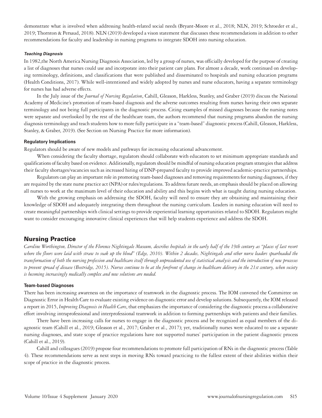demonstrate what is involved when addressing health-related social needs (Bryant-Moore et al., 2018; NLN, 2019; Schroeder et al., 2019; Thornton & Persaud, 2018). NLN (2019) developed a vison statement that discusses these recommendations in addition to other recommendations for faculty and leadership in nursing programs to integrate SDOH into nursing education.

#### *Teaching Diagnosis*

In 1982,the North America Nursing Diagnosis Association, led by a group of nurses, was officially developed for the purpose of creating a list of diagnoses that nurses could use and incorporate into their patient care plans. For almost a decade, work continued on developing terminology, definitions, and classifications that were published and disseminated to hospitals and nursing education programs (Health Conditions, 2017). While well-intentioned and widely adopted by nurses and nurse educators, having a separate terminology for nurses has had adverse effects.

In the July issue of the *Journal of Nursing Regulation*, Cahill, Gleason, Harkless, Stanley, and Graber (2019) discuss the National Academy of Medicine's promotion of team-based diagnosis and the adverse outcomes resulting from nurses having their own separate terminology and not being full participants in the diagnostic process. Citing examples of missed diagnoses because the nursing notes were separate and overlooked by the rest of the healthcare team, the authors recommend that nursing programs abandon the nursing diagnosis terminology and teach students how to more fully participate in a "team-based" diagnostic process (Cahill, Gleason, Harkless, Stanley, & Graber, 2019). (See Section on Nursing Practice for more information).

#### **Regulatory Implications**

Regulators should be aware of new models and pathways for increasing educational advancement.

When considering the faculty shortage, regulators should collaborate with educators to set minimum appropriate standards and qualifications of faculty based on evidence. Additionally, regulators should be mindful of nursing education program strategies that address their faculty shortages/vacancies such as increased hiring of DNP-prepared faculty to provide improved academic-practice partnerships.

Regulators can play an important role in promoting team-based diagnoses and removing requirements for nursing diagnoses, if they are required by the state nurse practice act (NPA) or rules/regulations. To address future needs, an emphasis should be placed on allowing all nurses to work at the maximum level of their education and ability and this begins with what is taught during nursing education.

With the growing emphasis on addressing the SDOH, faculty will need to ensure they are obtaining and maintaining their knowledge of SDOH and adequately integrating them throughout the nursing curriculum. Leaders in nursing education will need to create meaningful partnerships with clinical settings to provide experiential learning opportunities related to SDOH. Regulators might want to consider encouraging innovative clinical experiences that will help students experience and address the SDOH.

## Nursing Practice

*Caroline Worthington, Director of the Florence Nightingale Museum, describes hospitals in the early half of the 19th century as "places of last resort where the floors were laid with straw to soak up the blood" (Edge, 2010). Within 2 decades, Nightingale and other nurse leaders spearheaded the transformation of both the nursing profession and healthcare itself through unprecedented use of statistical analysis and the introduction of new processes*  to prevent spread of disease (Bostridge, 2015). Nurses continue to be at the forefront of change in healthcare delivery in the 21st century, when society *is becoming increasingly medically complex and new solutions are needed.*

#### **Team-based Diagnoses**

There has been increasing awareness on the importance of teamwork in the diagnostic process. The IOM convened the Committee on Diagnostic Error in Health Care to evaluate existing evidence on diagnostic error and develop solutions. Subsequently, the IOM released a report in 2015, *Improving Diagnosis in Health Care*, that emphasizes the importance of considering the diagnostic process a collaborative effort involving intraprofessional and interprofessional teamwork in addition to forming partnerships with patients and their families.

There have been increasing calls for nurses to engage in the diagnostic process and be recognized as equal members of the diagnostic team (Cahill et al., 2019; Gleason et al., 2017; Graber et al., 2017); yet, traditionally nurses were educated to use a separate nursing diagnoses, and state scope of practice regulations have not supported nurses' participation in the patient diagnostic process (Cahill et al., 2019).

Cahill and colleagues (2019) propose four recommendations to promote full participation of RNs in the diagnostic process (Table 4). These recommendations serve as next steps in moving RNs toward practicing to the fullest extent of their abilities within their scope of practice in the diagnostic process.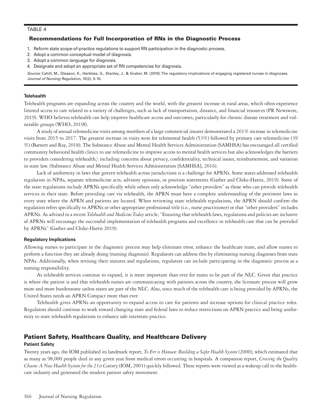#### TABLE 4

#### Recommendations for Full Incorporation of RNs in the Diagnostic Process

- 1. Reform state scope-of-practice regulations to support RN participation in the diagnostic process.
- 2. Adopt a common conceptual model of diagnosis.
- 3. Adopt a common language for diagnosis.
- 4. Designate and adopt an appropriate set of RN competencies for diagnosis.

*Source:* Cahill, M., Gleason, K., Harkless, G., Stanley, J., & Graber, M. (2019). The regulatory implications of engaging registered nurses in diagnoses. *Journal of Nursing Regulation,* 10(2), 5-10.

#### **Telehealth**

Telehealth programs are expanding across the country and the world, with the greatest increase in rural areas, which often experience limited access to care related to a variety of challenges, such as lack of transportation, distance, and financial resources (PR Newswire, 2019). WHO believes telehealth can help improve healthcare access and outcomes, particularly for chronic disease treatment and vulnerable groups (WHO, 2019f).

A study of annual telemedicine visits among members of a large commercial insurer demonstrated a 261% increase in telemedicine visits from 2015 to 2017. The greatest increase in visits were for telemental health (53%) followed by primary care telemedicine (39 %) (Barnett and Ray, 2018). The Substance Abuse and Mental Health Services Administration (SAMHSA) has encouraged all certified community behavioral health clinics to use telemedicine to improve access to mental health services but also acknowledges the barriers to providers considering telehealth,\ including concerns about privacy, confidentiality, technical issues, reimbursement, and variation in state law. (Substance Abuse and Mental Health Services Administration [SAMHSA], 2016).

Lack of uniformity in laws that govern telehealth across jurisdictions is a challenge for APRNs. Some states addressed telehealth regulation in NPAs, separate telemedicine acts, advisory opinions, or position statements (Garber and Chike-Harris, 2019). Some of the state regulations include APRNs specifically while others only acknowledge "other providers" as those who can provide telehealth services in their state. Before providing care via telehealth, the APRN must have a complete understanding of the pertinent laws in every state where the APRN and patients are located. When reviewing state telehealth regulations, the APRN should confirm the regulation refers specifically to APRNs or other appropriate professional title (i.e., nurse practitioner) or that "other providers" includes APRNs. As advised in a recent *Telehealth and Medicine Today* article, "Ensuring that telehealth laws, regulations and policies are inclusive of APRNs will encourage the successful implementation of telehealth programs and excellence in telehealth care that can be provided by APRNs" (Garber and Chike-Harris 2019).

#### **Regulatory Implications**

Allowing nurses to participate in the diagnostic process may help eliminate error, enhance the healthcare team, and allow nurses to perform a function they are already doing (nursing diagnosis). Regulators can address this by eliminating nursing diagnoses from state NPAs. Additionally, when revising their statutes and regulations, regulators can include participating in the diagnostic process as a nursing responsibility.

As telehealth services continue to expand, it is more important than ever for states to be part of the NLC. Given that practice is where the patient is and that telehealth nurses are communicating with patients across the country, the licensure process will grow more and more burdensome unless states are part of the NLC. Also, since much of the telehealth care is being provided by APRNs, the United States needs an APRN Compact more than ever.

Telehealth gives APRNs an opportunity to expand access to care for patients and increase options for clinical practice roles. Regulators should continue to work toward changing state and federal laws to reduce restrictions on APRN practice and bring uniformity to state telehealth regulations to enhance safe interstate practice.

## Patient Safety, Healthcare Quality, and Healthcare Delivery

#### **Patient Safety**

Twenty years ago, the IOM published its landmark report, *To Err is Human: Building a Safer Health System* (2000), which estimated that as many as 98,000 people died in any given year from medical errors occurring in hospitals. A companion report, *Crossing the Quality Chasm: A New Health System for the 21st Century* (IOM, 2001) quickly followed. These reports were viewed as a wakeup call to the healthcare industry and generated the modern patient safety movement.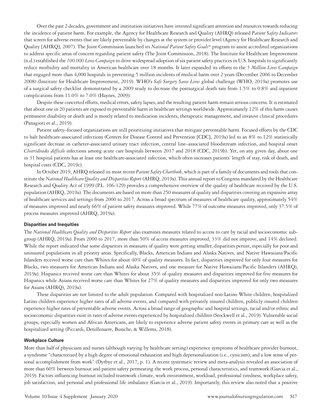Over the past 2 decades, government and institution initiatives have invested significant attention and resources towards reducing the incidence of patient harm. For example, the Agency for Healthcare Research and Quality (AHRQ) released *Patient Safety Indicators* that screen for adverse events that are likely preventable by changes at the system or provider level (Agency for Healthcare Research and Quality [AHRQ], 2007). The Joint Commission launched its *National Patient Safety Goals*® program to assist accredited organizations to address specific areas of concern regarding patient safety (The Joint Commission, 2018). The Institute for Healthcare Improvement (n.d.) established the *100,000 Lives Campaign* to drive widespread adoption of six patient safety practices in U.S. hospitals to significantly reduce morbidity and mortality in American healthcare over 18 months. It later expanded its efforts to the *5 Million Lives Campaign*  that engaged more than 4,000 hospitals in preventing 5 million incidents of medical harm over 2 years (December 2006 to December 2008) (Institute for Healthcare Improvement, 2019). WHO's *Safe Surgery Saves Lives* global challenge (WHO, 2019a) promotes use of a surgical safety checklist demonstrated by a 2009 study to decrease the postsurgical death rate from 1.5% to 0.8% and inpatient complications from 11.0% to 7.0% (Haynes, 2009).

Despite these concerted efforts, medical errors, safety lapses, and the resulting patient harm remain serious concerns. It is estimated that about one in 20 patients are exposed to preventable harm in healthcare settings worldwide. Approximately 12% of this harm causes permanent disability or death and is mostly related to medication incidents, therapeutic management, and invasive clinical procedures (Panagioti et al., 2019).

Patient safety–focused organizations are still prioritizing initiatives that mitigate preventable harm. Focused efforts by the CDC to halt healthcare-associated infections (Centers for Disease Control and Prevention [CDC], 2019a) led to an 8% to 12% statistically significant decrease in catheter-associated urinary tract infection, central line–associated bloodstream infection, and hospital onset *Clostridioides difficile* infections among acute care hospitals between 2017 and 2018 (CDC, 2019b). Yet, on any given day, about one in 31 hospital patients has at least one healthcare-associated infection, which often increases patients' length of stay, risk of death, and hospital costs (CDC, 2019c).

In October 2019, AHRQ released its most recent *Patient Safety Chartbook*, which is part of a family of documents and tools that constitute the *National Healthcare Quality and Disparities Report* (AHRQ, 2019a). This annual report to Congress mandated by the Healthcare Research and Quality Act of 1999 (P.L. 106-129) provides a comprehensive overview of the quality of healthcare received by the U.S. population (AHRQ, 2019a). The documents are based on more than 250 measures of quality and disparities covering an expansive array of healthcare services and settings from 2000 to 2017. Across a broad spectrum of measures of healthcare quality, approximately 54% of measures improved and nearly 66% of patient safety measures improved. While 77% of outcome measures improved, only 37.5% of process measures improved (AHRQ, 2019a).

#### **Disparities and Inequities**

The *National Healthcare Quality and Disparities Report* also examines measures related to access to care by racial and socioeconomic subgroup (AHRQ, 2019a). From 2000 to 2017, more than 50% of access measures improved, 33% did not improve, and 14% declined. While the report indicated that some disparities in measures of quality were getting smaller, disparities persist, especially for poor and uninsured populations in all priority areas. Specifically, Blacks, American Indians and Alaska Natives, and Native Hawaiians/Pacific Islanders received worse care than Whites for about 40% of quality measures. In fact, disparities improved for only four measures for Blacks, two measures for American Indians and Alaska Natives, and one measure for Native Hawaiians/Pacific Islanders (AHRQ), 2019a). Hispanics received worse care than Whites for about 35% of quality measures and disparities improved for five measures for Hispanics while Asians received worse care than Whites for 27% of quality measures and disparities improved for only two measures for Asians (AHRQ), 2019a).

These disparities are not limited to the adult population. Compared with hospitalized non-Latino White children, hospitalized Latino children experience higher rates of all adverse events, and compared with privately insured children, publicly insured children experience higher rates of preventable adverse events. Across a broad range of geographic and hospital settings, racial and/or ethnic and socioeconomic disparities exist in rates of adverse events experienced by hospitalized children (Stockwell et al., 2019). Vulnerable social groups, especially women and African Americans, are likely to experience adverse patient safety events in primary care as well as the hospitalized setting (Piccardi, Detollenaere, Bussche, & Willems, 2018).

#### **Workplace Culture**

More than half of physicians and nurses (although varying by healthcare setting) experience symptoms of healthcare provider burnout, a syndrome "characterized by a high degree of emotional exhaustion and high depersonalization (i.e., cynicism), and a low sense of personal accomplishment from work" (Dyrbye et al., 2017, p. 1). A recent systematic review and meta-analysis revealed an association of more than 60% between burnout and patient safety permeating the work process, personal characteristics, and teamwork (Garcia et al., 2019). Factors influencing burnout included teamwork climate, work environment, workload, professional tiredness, workplace safety, job satisfaction, and personal and professional life imbalance (Garcia et al., 2019). Importantly, this review also noted that a positive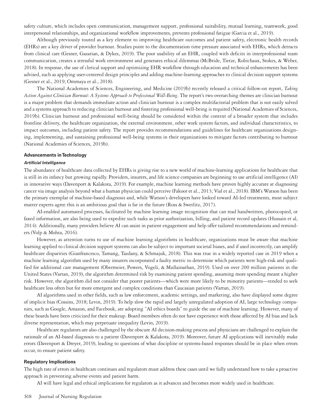safety culture, which includes open communication, management support, professional suitability, mutual learning, teamwork, good interpersonal relationships, and organizational workflow improvements, prevents professional fatigue (Garcia et al., 2019).

Although previously touted as a key element to improving healthcare outcomes and patient safety, electronic health records (EHRs) are a key driver of provider burnout. Studies point to the documentation time pressure associated with EHRs, which detracts from clinical care (Gesner, Gazarian, & Dykes, 2019). The poor usability of an EHR, coupled with deficits in interprofessional team communication, creates a stressful work environment and generates ethical dilemmas (McBride, Tietze, Robichaux, Stokes, & Weber, 2018). In response, the use of clerical support and optimizing EHR workflow through education and technical enhancements has been advised, such as applying user-centered design principles and adding machine-learning approaches to clinical decision support systems (Gesner et al., 2019; Ommaya et al., 2018).

The National Academies of Sciences, Engineering, and Medicine (2019b) recently released a critical follow-on report, *Taking Action Against Clinician Burnout: A Systems Approach to Professional Well-Being*. The report's two overarching themes are clinician burnout is a major problem that demands immediate action and clinician burnout is a complex multifactorial problem that is not easily solved and a systems approach to reducing clinician burnout and fostering professional well-being is required (National Academies of Sciences, 2019b). Clinician burnout and professional well-being should be considered within the context of a broader system that includes frontline delivery, the healthcare organization, the external environment, other work system factors, and individual characteristics, to impact outcomes, including patient safety. The report provides recommendations and guidelines for healthcare organizations designing, implementing, and sustaining professional well-being systems in their organizations to mitigate factors contributing to burnout (National Academies of Sciences, 2019b).

#### **Advancements in Technology**

#### *Artificial Intelligence*

The abundance of healthcare data collected by EHRs is giving rise to a new world of machine-learning applications for healthcare that is still in its infancy but growing rapidly. Providers, insurers, and life science companies are beginning to use artificial intelligence (AI) in innovative ways (Davenport & Kalakota, 2019). For example, machine learning methods have proven highly accurate at diagnosing cancer via image analysis beyond what a human physician could perceive (Fakoor et al., 2013; Vial et al., 2018). IBM's Watson has been the primary exemplar of machine-based diagnosis and, while Watson's developers have looked toward AI-led treatments, most subject matter experts agree this is an ambitious goal that is far in the future (Ross & Swetlitz, 2017).

AI-enabled automated processes, facilitated by machine learning image recognition that can read handwritten, photocopied, or faxed information, are also being used to expedite such tasks as prior authorization, billing, and patient record updates (Hussain et al, 2014). Additionally, many providers believe AI can assist in patient engagement and help offer tailored recommendations and reminders (Volp & Mohta, 2016).

However, as attention turns to use of machine learning algorithms in healthcare, organizations must be aware that machine learning applied to clinical decision support systems can also be subject to important societal biases, and if used incorrectly, can amplify healthcare disparities (Gianfrancesco, Tamang, Tazdany, & Schmajuk, 2018). This was true in a widely reported case in 2019 when a machine learning algorithm used by many insurers incorporated a faulty metric to determine which patients were high-risk and qualified for additional care management (Obermeier, Powers, Vogeli, & Mullainathan, 2019). Used on over 200 million patients in the United States (Vartan, 2019), the algorithm determined risk by examining patient spending, assuming more spending meant a higher risk. However, the algorithm did not consider that poorer patients—which were more likely to be minority patients—tended to seek healthcare less often but for more emergent and complex conditions than Caucasian patients (Vartan, 2019).

AI algorithms used in other fields, such as law enforcement, academic settings, and marketing, also have displayed some degree of implicit bias (Cossins, 2018; Levin, 2019). To help slow the rapid and largely unregulated adoption of AI, large technology companies, such as Google, Amazon, and Facebook, are adopting "AI ethics boards" to guide the use of machine learning. However, many of these boards have been criticized for their makeup. Board members often do not have experience with those affected by AI bias and lack diverse representation, which may perpetuate inequality (Levin, 2019).

Healthcare regulators are also challenged by the obscure AI decision-making process and physicians are challenged to explain the rationale of an AI-based diagnosis to a patient (Davenport & Kalakota, 2019). Moreover, future AI applications will inevitably make errors (Davenport & Dreyer, 2019), leading to questions of what discipline or systems-based responses should be in place when errors occur, to ensure patient safety.

#### **Regulatory Implications**

The high rate of errors in healthcare continues and regulators must address these cases until we fully understand how to take a proactive approach in preventing adverse events and patient harm.

AI will have legal and ethical implications for regulators as it advances and becomes more widely used in healthcare.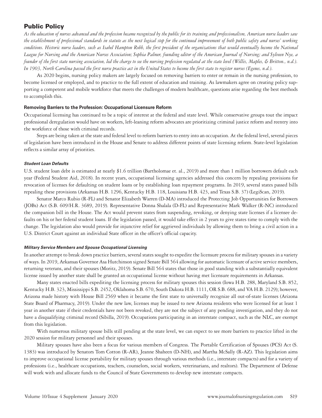## Public Policy

*As the education of nurses advanced and the profession became recognized by the public for its training and professionalism, American nurse leaders saw the establishment of professional standards in statute as the next logical step for the continued improvement of both public safety and nurses' working*  conditions. Historic nurse leaders, such as Isabel Hampton Robb, the first president of the organizations that would eventually become the National *League for Nursing and the American Nurses Association; Sophia Palmer, founding editor of the American Journal of Nursing; and Sylveen Nye, a founder of the first state nursing association, led the charge to see the nursing profession regulated at the state level (Willis, Maples, & Britton., n.d.). In 1903, North Carolina passed the first nurse practice act in the United States to become the first state to register nurses (Egenes, n.d.).* 

As 2020 begins, nursing policy makers are largely focused on removing barriers to enter or remain in the nursing profession, to become licensed or employed, and to practice to the full extent of education and training. As lawmakers agree on creating policy supporting a competent and mobile workforce that meets the challenges of modern healthcare, questions arise regarding the best methods to accomplish this.

## **Removing Barriers to the Profession: Occupational Licensure Reform**

Occupational licensing has continued to be a topic of interest at the federal and state level. While conservative groups tout the impact professional deregulation would have on workers, left-leaning reform advocates are prioritizing criminal justice reform and reentry into the workforce of those with criminal records.

Steps are being taken at the state and federal level to reform barriers to entry into an occupation. At the federal level, several pieces of legislation have been introduced in the House and Senate to address different points of state licensing reform. State-level legislation reflects a similar array of priorities.

## *Student Loan Defaults*

U.S. student loan debt is estimated at nearly \$1.6 trillion (Bartholomae et. al., 2019) and more than 1 million borrowers default each year (Federal Student Aid, 2018). In recent years, occupational licensing agencies addressed this concern by repealing provisions for revocation of licenses for defaulting on student loans or by establishing loan repayment programs. In 2019, several states passed bills repealing these provisions (Arkansas H.B. 1296, Kentucky H.B. 118, Louisiana H.B. 423, and Texas S.B. 37) (LegiScan, 2019).

Senator Marco Rubio (R-FL) and Senator Elizabeth Warren (D-MA) introduced the Protecting Job Opportunities for Borrowers (JOBs) Act (S.B. 609/H.R. 3689, 2019). Representative Donna Shalala (D-FL) and Representative Mark Walker (R-NC) introduced the companion bill in the House. The Act would prevent states from suspending, revoking, or denying state licenses if a licensee defaults on his or her federal student loans. If the legislation passed, it would take effect in 2 years to give states time to comply with the change. The legislation also would provide for injunctive relief for aggrieved individuals by allowing them to bring a civil action in a U.S. District Court against an individual State officer in the officer's official capacity.

## *Military Service Members and Spouse Occupational Licensing*

In another attempt to break down practice barriers, several states sought to expedite the licensure process for military spouses in a variety of ways. In 2019, Arkansas Governor Asa Hutchinson signed Senate Bill 564 allowing for automatic licensure of active service members, returning veterans, and their spouses (Moritz, 2019). Senate Bill 564 states that those in good standing with a substantially equivalent license issued by another state shall be granted an occupational license without having met licensure requirements in Arkansas.

Many states enacted bills expediting the licensing process for military spouses this session (Iowa H.B. 288, Maryland S.B. 852, Kentucky H.B. 323, Mississippi S.B. 2452, Oklahoma S.B. 670, South Dakota H.B. 1111, OR S.B. 688, and VA H.B. 2129); however, Arizona made history with House Bill 2569 when it became the first state to universally recognize all out-of-state licenses (Arizona State Board of Pharmacy, 2019). Under the new law, licenses may be issued to new Arizona residents who were licensed for at least 1 year in another state if their credentials have not been revoked, they are not the subject of any pending investigation, and they do not have a disqualifying criminal record (Sibilla, 2019). Occupations participating in an interstate compact, such as the NLC, are exempt from this legislation.

With numerous military spouse bills still pending at the state level, we can expect to see more barriers to practice lifted in the 2020 session for military personnel and their spouses.

Military spouses have also been a focus for various members of Congress. The Portable Certification of Spouses (PCS) Act (S. 1383) was introduced by Senators Tom Cotton (R-AR), Jeanne Shaheen (D-NH), and Martha McSally (R-AZ). This legislation aims to improve occupational license portability for military spouses through various methods (i.e., interstate compacts) and for a variety of professions (i.e., healthcare occupations, teachers, counselors, social workers, veterinarians, and realtors). The Department of Defense will work with and allocate funds to the Council of State Governments to develop new interstate compacts.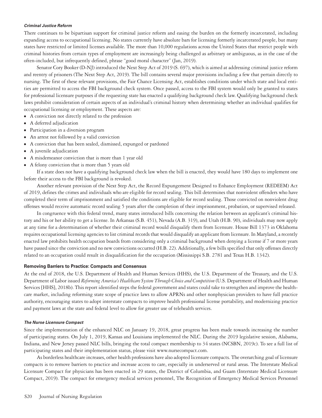#### *Criminal Justice Reform*

There continues to be bipartisan support for criminal justice reform and easing the burden on the formerly incarcerated, including expanding access to occupational licensing. No states currently have absolute bars for licensing formerly incarcerated people, but many states have restricted or limited licenses available. The more than 10,000 regulations across the United States that restrict people with criminal histories from certain types of employment are increasingly being challenged as arbitrary or ambiguous, as in the case of the often-included, but infrequently defined, phrase "good moral character" (Jan, 2019).

Senator Cory Booker (D-NJ) introduced the Next Step Act of 2019 (S. 697), which is aimed at addressing criminal justice reform and reentry of prisoners (The Next Step Act, 2019). The bill contains several major provisions including a few that pertain directly to nursing. The first of these relevant provisions, the Fair Chance Licensing Act, establishes conditions under which state and local entities are permitted to access the FBI background check system. Once passed, access to the FBI system would only be granted to states for professional licensure purposes if the requesting state has enacted a qualifying background check law. Qualifying background check laws prohibit consideration of certain aspects of an individual's criminal history when determining whether an individual qualifies for occupational licensing or employment. These aspects are:

- <sup>⦁</sup> A conviction not directly related to the profession
- <sup>⦁</sup> A deferred adjudication
- <sup>⦁</sup> Participation in a diversion program
- <sup>⦁</sup> An arrest not followed by a valid conviction
- <sup>⦁</sup> A conviction that has been sealed, dismissed, expunged or pardoned
- <sup>⦁</sup> A juvenile adjudication
- <sup>⦁</sup> A misdemeanor conviction that is more than 1 year old
- <sup>⦁</sup> A felony conviction that is more than 5 years old

If a state does not have a qualifying background check law when the bill is enacted, they would have 180 days to implement one before their access to the FBI background is revoked.

Another relevant provision of the Next Step Act, the Record Expungement Designed to Enhance Employment (REDEEM) Act of 2019, defines the crimes and individuals who are eligible for record sealing. This bill determines that nonviolent offenders who have completed their term of imprisonment and satisfied the conditions are eligible for record sealing. Those convicted on nonviolent drug offenses would receive automatic record sealing 5 years after the completion of their imprisonment, probation, or supervised released.

In congruence with this federal trend, many states introduced bills concerning the relation between an applicant's criminal history and his or her ability to get a license. In Arkansas (S.B. 451), Nevada (A.B. 319), and Utah (H.B. 90), individuals may now apply at any time for a determination of whether their criminal record would disqualify them from licensure. House Bill 1373 in Oklahoma requires occupational licensing agencies to list criminal records that would disqualify an applicant from licensure. In Maryland, a recently enacted law prohibits health occupation boards from considering only a criminal background when denying a license if 7 or more years have passed since the conviction and no new convictions occurred (H.B. 22). Additionally, a few bills specified that only offenses directly related to an occupation could result in disqualification for the occupation (Mississippi S.B. 2781 and Texas H.B. 1342).

#### **Removing Barriers to Practice: Compacts and Consensus**

At the end of 2018, the U.S. Department of Health and Human Services (HHS), the U.S. Department of the Treasury, and the U.S. Department of Labor issued *Reforming America's Healthcare System Through Choice and Competition* (U.S. Department of Health and Human Services [HHS], 2018b). This report identified steps the federal government and states could take to strengthen and improve the healthcare market, including reforming state scope of practice laws to allow APRNs and other nonphysician providers to have full practice authority, encouraging states to adopt interstate compacts to improve health professional license portability, and modernizing practice and payment laws at the state and federal level to allow for greater use of telehealth services.

#### *The Nurse Licensure Compact*

Since the implementation of the enhanced NLC on January 19, 2018, great progress has been made towards increasing the number of participating states. On July 1, 2019, Kansas and Louisiana implemented the NLC. During the 2019 legislative session, Alabama, Indiana, and New Jersey passed NLC bills, bringing the total compact membership to 34 states (NCSBN, 2019c). To see a full list of participating states and their implementation status, please visit www.nursecompact.com.

As borderless healthcare increases, other health professions have also adopted licensure compacts. The overarching goal of licensure compacts is to remove barriers to practice and increase access to care, especially in underserved or rural areas. The Interstate Medical Licensure Compact for physicians has been enacted in 29 states, the District of Columbia, and Guam (Interstate Medical Licensure Compact, 2019). The compact for emergency medical services personnel, The Recognition of Emergency Medical Services Personnel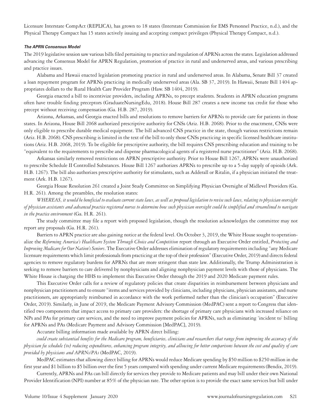Licensure Interstate CompAct (REPLICA), has grown to 18 states (Interstate Commission for EMS Personnel Practice, n.d.), and the Physical Therapy Compact has 15 states actively issuing and accepting compact privileges (Physical Therapy Compact, n.d.).

#### *The APRN Consensus Model*

The 2019 legislative session saw various bills filed pertaining to practice and regulation of APRNs across the states. Legislation addressed advancing the Consensus Model for APRN Regulation, promotion of practice in rural and underserved areas, and various prescribing and practice issues.

Alabama and Hawaii enacted legislation promoting practice in rural and underserved areas. In Alabama, Senate Bill 37 created a loan repayment program for APRNs practicing in medically underserved areas (Ala. SB 37, 2019). In Hawaii, Senate Bill 1404 appropriates dollars to the Rural Health Care Provider Program (Haw. SB 1404, 2019).

Georgia enacted a bill to incentivize providers, including APRNs, to precept students. Students in APRN education programs often have trouble finding preceptors (GraduateNursingEdu, 2018). House Bill 287 creates a new income tax credit for those who precept without receiving compensation (Ga. H.B. 287, 2019).

Arizona, Arkansas, and Georgia enacted bills and resolutions to remove barriers for APRNs to provide care for patients in those states. In Arizona, House Bill 2068 authorized prescriptive authority for CNSs (Ariz. H.B. 2068). Prior to the enactment, CNSs were only eligible to prescribe durable medical equipment. The bill advanced CNS practice in the state, though various restrictions remain (Ariz. H.B. 2068). CNS prescribing is limited in the text of the bill to only those CNSs practicing in specific licensed healthcare institutions (Ariz. H.B. 2068, 2019). To be eligible for prescriptive authority, the bill requires CNS prescribing education and training to be "equivalent to the requirements to prescribe and dispense pharmacological agents of a registered nurse practitioner" (Ariz. H.B. 2068).

Arkansas similarly removed restrictions on APRN prescriptive authority. Prior to House Bill 1267, APRNs were unauthorized to prescribe Schedule II Controlled Substances. House Bill 1267 authorizes APRNs to prescribe up to a 5-day supply of opioids (Ark. H.B. 1267). The bill also authorizes prescriptive authority for stimulants, such as Adderall or Ritalin, if a physician initiated the treatment (Ark. H.B. 1267).

Georgia House Resolution 261 created a Joint Study Committee on Simplifying Physician Oversight of Midlevel Providers (Ga. H.R. 261). Among the preambles, the resolution states:

*WHEREAS, it would be beneficial to evaluate current state laws, as well as proposed legislation to revise such laws, relating to physician oversight of physician assistants and advanced practice registered nurses to determine how such physician oversight could be simplified and streamlined to navigate in the practice environment* (Ga. H.R. 261).

The study committee may file a report with proposed legislation, though the resolution acknowledges the committee may not report any proposals (Ga. H.R. 261).

Barriers to APRN practice are also gaining notice at the federal level. On October 3, 2019, the White House sought to operationalize the *Reforming America's Healthcare System Through Choice and Competition* report through an Executive Order entitled, *Protecting and Improving Medicare for Our Nation's Seniors*. The Executive Order addresses elimination of regulatory requirements including "any Medicare licensure requirements which limit professionals from practicing at the top of their profession" (Executive Order, 2019) and directs federal agencies to remove regulatory burdens for APRNs that are more stringent than state law. Additionally, the Trump Administration is seeking to remove barriers to care delivered by nonphysicians and aligning nonphysician payment levels with those of physicians. The White House is charging the HHS to implement this Executive Order through the 2019 and 2020 Medicare payment rules.

This Executive Order calls for a review of regulatory policies that create disparities in reimbursement between physicians and nonphysician practitioners and to ensure "items and services provided by clinicians, including physicians, physician assistants, and nurse practitioners, are appropriately reimbursed in accordance with the work performed rather than the clinician's occupation" (Executive Order, 2019). Similarly, in June of 2019, the Medicare Payment Advisory Commission (MedPAC) sent a report to Congress that identified two components that impact access to primary care providers: the shortage of primary care physicians with increased reliance on NPs and PAs for primary care services, and the need to improve payment policies for APRNs, such as eliminating 'incident to' billing for APRNs and PAs (Medicare Payment and Advisory Commission [MedPAC], 2019).

Accurate billing information made available by APRN direct billing:

*could create substantial benefits for the Medicare program, beneficiaries, clinicians and researchers that range from improving the accuracy of the physician fee schedule [to] reducing expenditures, enhancing program integrity, and allowing for better comparisons between the cost and quality of care provided by physicians and APRNs/PAs* (MedPAC, 2019).

MedPAC estimates that allowing direct billing for APRNs would reduce Medicare spending by \$50 million to \$250 million in the first year and \$1 billion to \$5 billion over the first 5 years compared with spending under current Medicare requirements (Bendix, 2019).

Currently, APRNs and PAs can bill directly for services they provide to Medicare patients and may bill under their own National Provider Identification (NPI) number at 85% of the physician rate. The other option is to provide the exact same services but bill under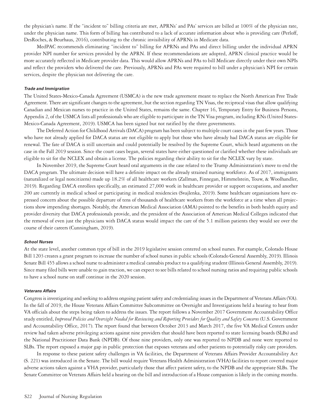the physician's name. If the "incident to" billing criteria are met, APRNs' and PAs' services are billed at 100% of the physician rate, under the physician name. This form of billing has contributed to a lack of accurate information about who is providing care (Perloff, DesRoches, & Beurhaus, 2016), contributing to the chronic invisibility of APRNs in Medicare data.

MedPAC recommends eliminating "incident to" billing for APRNs and PAs and direct billing under the individual APRN provider NPI number for services provided by the APRN. If these recommendations are adopted, APRN clinical practice would be more accurately reflected in Medicare provider data. This would allow APRNs and PAs to bill Medicare directly under their own NPIs and reflect the providers who delivered the care. Previously, APRNs and PAs were required to bill under a physician's NPI for certain services, despite the physician not delivering the care.

#### *Trade and Immigration*

The United States-Mexico-Canada Agreement (USMCA) is the new trade agreement meant to replace the North American Free Trade Agreement. There are significant changes to the agreement, but the section regarding TN Visas, the reciprocal visas that allow qualifying Canadian and Mexican nurses to practice in the United States, remains the same. Chapter 16, Temporary Entry for Business Persons, Appendix 2, of the USMCA lists all professionals who are eligible to participate in the TN Visa program, including RNs (United States-Mexico-Canada Agreement, 2019). USMCA has been signed but not ratified by the three governments.

The Deferred Action for Childhood Arrivals (DACA) program has been subject to multiple court cases in the past few years. Those who have not already applied for DACA status are not eligible to apply but those who have already had DACA status are eligible for renewal. The fate of DACA is still uncertain and could potentially be resolved by the Supreme Court, which heard arguments on the case in the Fall 2019 session. Since the court cases began, several states have either questioned or clarified whether these individuals are eligible to sit for the NCLEX and obtain a license. The policies regarding their ability to sit for the NCLEX vary by state.

In November 2019, the Supreme Court heard oral arguments in the case related to the Trump Administration's move to end the DACA program. The ultimate decision will have a definite impact on the already strained nursing workforce. As of 2017, immigrants (naturalized or legal noncitizens) made up 18.2% of all healthcare workers (Zallman, Finnegan, Himmelstein, Touw, & Woolhandler, 2019). Regarding DACA enrollees specifically, an estimated 27,000 work in healthcare provider or support occupations, and another 200 are currently in medical school or participating in medical residencies (Svajlenka, 2019). Some healthcare organizations have expressed concern about the possible departure of tens of thousands of healthcare workers from the workforce at a time when all projections show impending shortages. Notably, the American Medical Association (AMA) pointed to the benefits in both health equity and provider diversity that DACA professionals provide, and the president of the Association of American Medical Colleges indicated that the removal of even just the physicians with DACA status would impact the care of the 5.1 million patients they would see over the course of their careers (Cunningham, 2019).

#### *School Nurses*

At the state level, another common type of bill in the 2019 legislative session centered on school nurses. For example, Colorado House Bill 1203 creates a grant program to increase the number of school nurses in public schools (Colorado General Assembly, 2019). Illinois Senate Bill 455 allows a school nurse to administer a medical cannabis product to a qualifying student (Illinois General Assembly, 2019). Since many filed bills were unable to gain traction, we can expect to see bills related to school nursing ratios and requiring public schools to have a school nurse on staff continue in the 2020 session.

#### *Veterans Affairs*

Congress is investigating and seeking to address ongoing patient safety and credentialing issues in the Department of Veterans Affairs (VA). In the fall of 2019, the House Veterans Affairs Committee Subcommittee on Oversight and Investigations held a hearing to hear from VA officials about the steps being taken to address the issues. The report follows a November 2017 Government Accountability Office study entitled, *Improved Policies and Oversight Needed for Reviewing and Reporting Providers for Quality and Safety Concerns* (U.S. Government and Accountability Office, 2017). The report found that between October 2013 and March 2017, the five VA Medical Centers under review had taken adverse privileging actions against nine providers that should have been reported to state licensing boards (SLBs) and the National Practitioner Data Bank (NPDB). Of those nine providers, only one was reported to NPDB and none were reported to SLBs. The report exposed a major gap in public protection that exposes veterans and other patients to potentially risky care providers.

In response to these patient safety challenges in VA facilities, the Department of Veterans Affairs Provider Accountability Act (S. 221) was introduced in the Senate. The bill would require Veterans Health Administration (VHA) facilities to report covered major adverse actions taken against a VHA provider, particularly those that affect patient safety, to the NPDB and the appropriate SLBs. The Senate Committee on Veterans Affairs held a hearing on the bill and introduction of a House companion is likely in the coming months.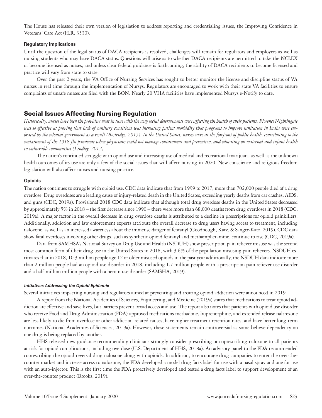The House has released their own version of legislation to address reporting and credentialing issues, the Improving Confidence in Veterans' Care Act (H.R. 3530).

#### **Regulatory Implications**

Until the question of the legal status of DACA recipients is resolved, challenges will remain for regulators and employers as well as nursing students who may have DACA status. Questions will arise as to whether DACA recipients are permitted to take the NCLEX or become licensed as nurses, and unless clear federal guidance is forthcoming, the ability of DACA recipients to become licensed and practice will vary from state to state.

Over the past 2 years, the VA Office of Nursing Services has sought to better monitor the license and discipline status of VA nurses in real time through the implementation of Nursys. Regulators are encouraged to work with their state VA facilities to ensure complaints of unsafe nurses are filed with the BON. Nearly 20 VHA facilities have implemented Nursys e-Notify to date.

## Social Issues Affecting Nursing Regulation

*Historically, nurses have been the providers most in tune with the way social determinants were affecting the health of their patients. Florence Nightingale was so effective at proving that lack of sanitary conditions was increasing patient morbidity that programs to improve sanitation in India were embraced by the colonial government as a result (Bostridge, 2015). In the United States, nurses were at the forefront of public health, contributing to the containment of the 1918 flu pandemic when physicians could not manage containment and prevention, and educating on maternal and infant health in vulnerable communities (Lindley, 2012).* 

The nation's continued struggle with opioid use and increasing use of medical and recreational marijuana as well as the unknown health outcomes of its use are only a few of the social issues that will affect nursing in 2020. New conscience and religious freedom legislation will also affect nurses and nursing practice.

#### **Opioids**

The nation continues to struggle with opioid use. CDC data indicate that from 1999 to 2017, more than 702,000 people died of a drug overdose. Drug overdoses are a leading cause of injury-related death in the United States, exceeding yearly deaths from car crashes, AIDS, and guns (CDC, 2019a). Provisional 2018 CDC data indicate that although total drug overdose deaths in the United States decreased by approximately 5% in 2018 – the first decrease since 1990 – there were more than 68,000 deaths from drug overdoses in 2018 (CDC, 2019a). A major factor in the overall decrease in drug overdose deaths is attributed to a decline in prescriptions for opioid painkillers. Additionally, addiction and law enforcement experts attribute the overall decrease to drug users having access to treatment, including naloxone, as well as an increased awareness about the immense danger of fentanyl (Goodnough, Katz, & Sanger-Katz, 2019). CDC data show fatal overdoses involving other drugs, such as synthetic opioid fentanyl and methamphetamine, continue to rise (CDC, 2019a).

Data from SAMHSA's National Survey on Drug Use and Health (NSDUH) show prescription pain reliever misuse was the second most common form of illicit drug use in the United States in 2018, with 3.6% of the population misusing pain relievers. NSDUH estimates that in 2018, 10.3 million people age 12 or older misused opioids in the past year additionally, the NSDUH data indicate more than 2 million people had an opioid use disorder in 2018, including 1.7 million people with a prescription pain reliever use disorder and a half-million million people with a heroin use disorder (SAMSHA, 2019).

#### *Initiatives Addressing the Opioid Epidemic*

Several initiatives impacting nursing and regulators aimed at preventing and treating opioid addiction were announced in 2019.

A report from the National Academies of Sciences, Engineering, and Medicine (2019a) states that medications to treat opioid addiction are effective and save lives, but barriers prevent broad access and use. The report also notes that patients with opioid use disorder who receive Food and Drug Administration (FDA)-approved medications methadone, buprenorphine, and extended release naltrexone are less likely to die from overdose or other addiction-related causes, have higher treatment retention rates, and have better long-term outcomes (National Academies of Sciences, 2019a). However, these statements remain controversial as some believe dependency on one drug is being replaced by another.

HHS released new guidance recommending clinicians strongly consider prescribing or coprescribing naloxone to all patients at risk for opioid complications, including overdose (U.S. Department of HHS, 2018a). An advisory panel to the FDA recommended coprescribing the opioid reversal drug naloxone along with opioids. In addition, to encourage drug companies to enter the over-thecounter market and increase access to naloxone, the FDA developed a model drug facts label for use with a nasal spray and one for use with an auto-injector. This is the first time the FDA proactively developed and tested a drug facts label to support development of an over-the-counter product (Brooks, 2019).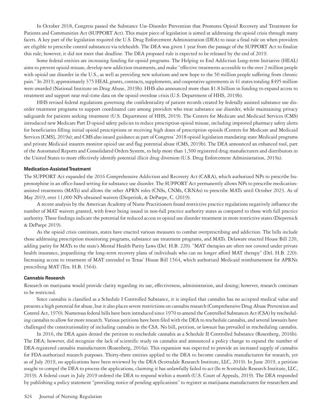In October 2018, Congress passed the Substance Use-Disorder Prevention that Promotes Opioid Recovery and Treatment for Patients and Communities Act (SUPPORT Act). This major piece of legislation is aimed at addressing the opioid crisis through many facets. A key part of the legislation required the U.S. Drug Enforcement Administration (DEA) to issue a final rule on when providers are eligible to prescribe control substances via telehealth. The DEA was given 1 year from the passage of the SUPPORT Act to finalize this rule; however, it did not meet that deadline. The DEA proposed rule is expected to be released by the end of 2019.

Some federal entities are increasing funding for opioid programs. The Helping to End Addiction Long-term Initiative (HEAL) aims to prevent opioid misuse, develop new addiction treatments, and make "effective treatments accessible to the over 2 million people with opioid use disorder in the U.S., as well as providing new solutions and new hope to the 50 million people suffering from chronic pain." In 2019, approximately 375 HEAL grants, contracts, supplements, and cooperative agreements in 41 states totaling \$495 million were awarded (National Institute on Drug Abuse, 2019b). HHS also announced more than \$1.8 billion in funding to expand access to treatment and support near real-time data on the opioid overdose crisis (U.S. Department of HHS, 2019b).

HHS revised federal regulations governing the confidentiality of patient records created by federally assisted substance use disorder treatment programs to support coordinated care among providers who treat substance use disorder, while maintaining privacy safeguards for patients seeking treatment (U.S. Department of HHS, 2019). The Centers for Medicare and Medicaid Services (CMS) introduced new Medicare Part D opioid safety policies to reduce prescription opioid misuse, including improved pharmacy safety alerts for beneficiaries filling initial opioid prescriptions or receiving high doses of prescription opioids (Centers for Medicare and Medicaid Services [CMS], 2019a); and CMS also issued guidance as part of Congress' 2018 opioid legislation mandating state Medicaid programs and private Medicaid insurers monitor opioid use and flag potential abuse (CMS, 2019b). The DEA announced an enhanced tool, part of the Automated Reports and Consolidated Orders System, to help more than 1,500 registered drug manufacturers and distributors in the United States to more effectively identify potential illicit drug diversion (U.S. Drug Enforcement Administration, 2019a).

#### **Medication-Assisted Treatment**

The SUPPORT Act expanded the 2016 Comprehensive Addiction and Recovery Act (CARA), which authorized NPs to prescribe buprenorphine in an office-based setting for substance use disorder. The SUPPORT Act permanently allows NPs to prescribe medicationassisted treatments (MATs) and allows the other APRN roles (CNSs, CNMs, CRNAs) to prescribe MATs until October 2023. As of May 2019, over 11,000 NPs obtained waivers (Dieperink, & DePaepe, C. (2019).

A recent analysis by the American Academy of Nurse Practitioners found restrictive practice regulations negatively influence the number of MAT waivers granted, with fewer being issued in non-full practice authority states as compared to those with full practice authority. These findings indicate the potential for reduced access to opioid use disorder treatment in more restrictive states (Diepernick & DePaepe 2019).

As the opioid crisis continues, states have enacted various measures to combat overprescribing and addiction. The bills include those addressing prescription monitoring programs, substance use treatment programs, and MATs. Delaware enacted House Bill 220, adding parity for MATs to the state's Mental Health Parity Laws (Del. H.B. 220). "MAT therapies are often not covered under private health insurance, jeopardizing the long-term recovery plans of individuals who can no longer afford MAT therapy" (Del. H.B. 220). Increasing access to treatment of MAT extended to Texas' House Bill 1564, which authorized Medicaid reimbursement for APRNs prescribing MAT (Tex. H.B. 1564).

#### **Cannabis Research**

Research on marijuana would provide clarity regarding its use, effectiveness, administration, and dosing; however, research continues to be restricted.

Since cannabis is classified as a Schedule I Controlled Substance, it is implied that cannabis has no accepted medical value and presents a high potential for abuse, but it also places severe restrictions on cannabis research (Comprehensive Drug Abuse Prevention and Control Act, 1970). Numerous federal bills have been introduced since 1970 to amend the Controlled Substances Act (CSA) by rescheduling cannabis to allow for more research. Various petitions have been filed with the DEA to reschedule cannabis, and several lawsuits have challenged the constitutionality of including cannabis in the CSA. No bill, petition, or lawsuit has prevailed in rescheduling cannabis.

In 2016, the DEA again denied the petition to reschedule cannabis as a Schedule II Controlled Substance (Rosenberg, 2016b). The DEA; however, did recognize the lack of scientific study on cannabis and announced a policy change to expand the number of DEA-registered cannabis manufacturers (Rosenberg, 2016a). This expansion was expected to provide an increased supply of cannabis for FDA-authorized research purposes. Thirty-three entities applied to the DEA to become cannabis manufacturers for research, yet as of July 2019, no applications have been reviewed by the DEA (Scottsdale Research Institute, LLC, 2019). In June 2019, a petition sought to compel the DEA to process the applications, claiming it has unlawfully failed to act (In re Scottsdale Research Institute, LLC, 2019). A federal court in July 2019 ordered the DEA to respond within a month (U.S. Court of Appeals, 2019). The DEA responded by publishing a policy statement "providing notice of pending applications" to register as marijuana manufacturers for researchers and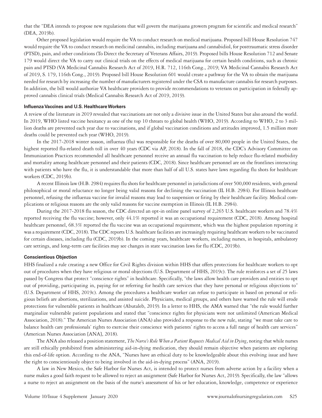that the "DEA intends to propose new regulations that will govern the marijuana growers program for scientific and medical research" (DEA, 2019b).

Other proposed legislation would require the VA to conduct research on medical marijuana. Proposed bill House Resolution 747 would require the VA to conduct research on medicinal cannabis, including marijuana and cannabidiol, for posttraumatic stress disorder (PTSD), pain, and other conditions (To Direct the Secretary of Veterans Affairs, 2019). Proposed bills House Resolution 712 and Senate 179 would direct the VA to carry out clinical trials on the effects of medical marijuana for certain health conditions, such as chronic pain and PTSD (VA Medicinal Cannabis Research Act of 2019, H.R. 712, 116th Cong., 2019; VA Medicinal Cannabis Research Act of 2019, S. 179, 116th Cong., 2019). Proposed bill House Resolution 601 would create a pathway for the VA to obtain the marijuana needed for research by increasing the number of manufacturers registered under the CSA to manufacture cannabis for research purposes. In addition, the bill would authorize VA healthcare providers to provide recommendations to veterans on participation in federally approved cannabis clinical trials (Medical Cannabis Research Act of 2019, 2019).

#### **Influenza Vaccines and U.S. Healthcare Workers**

A review of the literature in 2019 revealed that vaccinations are not only a divisive issue in the United States but also around the world. In 2019, WHO listed vaccine hesitancy as one of the top 10 threats to global health (WHO, 2019). According to WHO, 2 to 3 million deaths are prevented each year due to vaccinations, and if global vaccination conditions and attitudes improved, 1.5 million more deaths could be prevented each year (WHO, 2019).

In the 2017-2018 winter season, influenza (flu) was responsible for the deaths of over 80,000 people in the United States, the highest reported flu-related death toll in over 40 years (CDC via AP, 2018). In the fall of 2018, the CDC's Advisory Committee on Immunization Practices recommended all healthcare personnel receive an annual flu vaccination to help reduce flu-related morbidity and mortality among healthcare personnel and their patients (CDC, 2018). Since healthcare personnel are on the frontlines interacting with patients who have the flu, it is understandable that more than half of all U.S. states have laws regarding flu shots for healthcare workers (CDC, 2019b).

A recent Illinois law (H.B. 2984) requires flu shots for healthcare personnel in jurisdictions of over 500,000 residents, with general philosophical or moral reluctance no longer being valid reasons for declining the vaccination (IL H.B. 2984). For Illinois healthcare personnel, refusing the influenza vaccine for invalid reasons may lead to suspension or firing by their healthcare facility. Medical complications or religious reasons are the only valid reasons for vaccine exemption in Illinois (IL H.B. 2984).

During the 2017-2018 flu season, the CDC directed an opt-in online panel survey of 2,265 U.S. healthcare workers and 78.4% reported receiving the flu vaccine; however, only 44.1% reported it was an occupational requirement (CDC, 2018). Among hospital healthcare personnel, 68.3% reported the flu vaccine was an occupational requirement, which was the highest population reporting it was a requirement (CDC, 2018). The CDC reports U.S. healthcare facilities are increasingly requiring healthcare workers to be vaccinated for certain diseases, including flu (CDC, 2019b). In the coming years, healthcare workers, including nurses, in hospitals, ambulatory care settings, and long-term care facilities may see changes in state vaccination laws for flu (CDC, 2019b).

#### **Conscientious Objection**

HHS finalized a rule creating a new Office for Civil Rights division within HHS that offers protections for healthcare workers to opt out of procedures when they have religious or moral objections (U.S. Department of HHS, 2019c). The rule reinforces a set of 25 laws passed by Congress that protect "conscience rights" in healthcare. Specifically, "the laws allow health care providers and entities to opt out of providing, participating in, paying for or referring for health care services that they have personal or religious objections to" (U.S. Department of HHS, 2019c). Among the procedures a healthcare worker can refuse to participate in based on personal or religious beliefs are abortions, sterilizations, and assisted suicide. Physicians, medical groups, and others have warned the rule will erode protections for vulnerable patients in healthcare (Abutaleb, 2019). In a letter to HHS, the AMA warned that "the rule would further marginalize vulnerable patient populations and stated that "conscience rights for physicians were not unlimited (American Medical Association, 2018)." The American Nurses Association (ANA) also provided a response to the new rule, stating "we must take care to balance health care professionals' rights to exercise their conscience with patients' rights to access a full range of health care services" (American Nurses Association [ANA], 2018).

The ANA also released a position statement, *The Nurse's Role When a Patient Requests Medical Aid in Dying*, noting that while nurses are still ethically prohibited from administering aid-in-dying medication, they should remain objective when patients are exploring this end-of-life option. According to the ANA, "Nurses have an ethical duty to be knowledgeable about this evolving issue and have the right to conscientiously object to being involved in the aid-in-dying process" (ANA, 2019).

A law in New Mexico, the Safe Harbor for Nurses Act, is intended to protect nurses from adverse action by a facility when a nurse makes a good faith request to be allowed to reject an assignment (Safe Harbor for Nurses Act, 2019). Specifically, the law "allows a nurse to reject an assignment on the basis of the nurse's assessment of his or her education, knowledge, competence or experience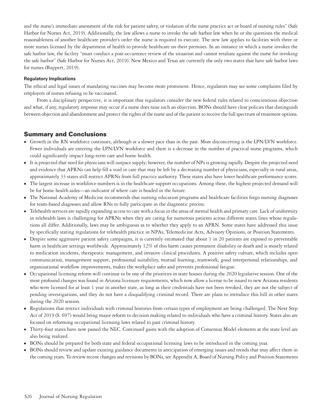and the nurse's immediate assessment of the risk for patient safety, or violation of the nurse practice act or board of nursing rules" (Safe Harbor for Nurses Act, 2019). Additionally, the law allows a nurse to invoke the safe harbor law when he or she questions the medical reasonableness of another healthcare provider's order the nurse is required to execute. The new law applies to facilities with three or more nurses licensed by the department of health to provide healthcare on their premises. In an instance in which a nurse invokes the safe harbor law, the facility "must conduct a post-occurrence review of the situation and cannot retaliate against the nurse for invoking the safe harbor" (Safe Harbor for Nurses Act, 2019). New Mexico and Texas are currently the only two states that have safe harbor laws for nurses (Buppert, 2019).

## **Regulatory Implications**

The ethical and legal issues of mandating vaccines may become more prominent. Hence, regulators may see some complaints filed by employers of nurses refusing to be vaccinated.

From a disciplinary perspective, it is important that regulators consider the new federal rules related to conscientious objection and what, if any, regulatory response may occur if a nurse does raise such an objection. BONs should have clear policies that distinguish between objection and abandonment and protect the rights of the nurse and of the patient to receive the full spectrum of treatment options.

## Summary and Conclusions

- <sup>⦁</sup> Growth in the RN workforce continues, although at a slower pace than in the past. More disconcerting is the LPN/LVN workforce. Fewer individuals are entering the LPN/LVN workforce and there is a decrease in the number of practical nurse programs, which could significantly impact long-term care and home health.
- <sup>⦁</sup> It is projected that need for physicians will outpace supply; however, the number of NPs is growing rapidly. Despite the projected need and evidence that APRNs can help fill a void in care that may be left by a decreasing number of physicians, especially in rural areas, approximately 33 states still restrict APRNs from full practice authority. These states also have lower healthcare performance scores.
- <sup>⦁</sup> The largest increase in workforce numbers is in the healthcare support occupations. Among these, the highest projected demand will be for home health aides—an indicator of where care is headed in the future.
- <sup>⦁</sup> The National Academy of Medicine recommends that nursing education programs and healthcare facilities forgo nursing diagnoses for team-based diagnoses and allow RNs to fully participate in the diagnostic process.
- <sup>⦁</sup> Telehealth services are rapidly expanding access to care with a focus in the areas of mental health and primary care. Lack of uniformity in telehealth laws is challenging for APRNs when they are caring for numerous patients across different states lines whose regulations all differ. Additionally, laws may be ambiguous as to whether they apply to an APRN. Some states have addressed this issue by specifically stating regulations for telehealth practice in NPAs, Telemedicine Acts, Advisory Opinions, or Position Statements.
- <sup>⦁</sup> Despite some aggressive patient safety campaigns, it is currently estimated that about 1 in 20 patients are exposed to preventable harm in healthcare settings worldwide. Approximately 12% of this harm causes permanent disability or death and is mostly related to medication incidents, therapeutic management, and invasive clinical procedures. A positive safety culture, which includes open communication, management support, professional suitability, mutual learning, teamwork, good interpersonal relationships, and organizational workflow improvements, makes the workplace safer and prevents professional fatigue.
- <sup>⦁</sup> Occupational licensing reform will continue to be one of the priorities in state houses during the 2020 legislative session. One of the most profound changes was found in Arizona licensure requirements, which now allow a license to be issued to new Arizona residents who were licensed for at least 1 year in another state, as long as their credentials have not been revoked, they are not the subject of pending investigations, and they do not have a disqualifying criminal record. There are plans to introduce this bill in other states during the 2020 session.
- <sup>⦁</sup> Regulations that restrict individuals with criminal histories from certain types of employment are being challenged. The Next Step Act of 2019 (S. 697) would bring major reform to decision making related to individuals who have a criminal history. States also are focused on reforming occupational licensing laws related to past criminal history.
- <sup>⦁</sup> Thirty-four states have now passed the NLC. Continued gains with the adoption of Consensus Model elements at the state level are also being realized.
- <sup>⦁</sup> BONs should be prepared for both state and federal occupational licensing laws to be introduced in the coming year.
- <sup>⦁</sup> BONs should review and update existing guidance documents in anticipation of emerging issues and trends that may affect them in the coming years. To review recent changes and revisions by BONs, see Appendix A, Board of Nursing Policy and Position Statements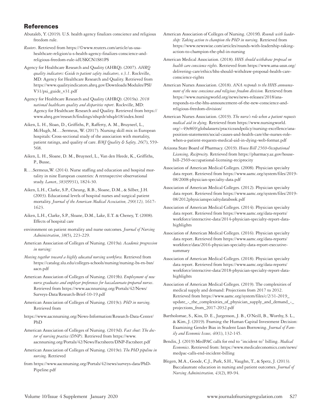## References

- Abutaleb, Y. (2019). U.S. health agency finalizes conscience and religious freedom rule.
- *Reuters*. Retrieved from https://©www.reuters.com/article/us-usahealthcare-religion/u-s-health-agency-finalizes-conscience-andreligious-freedom-rule-idUSKCN1S81PS
- Agency for Healthcare Research and Quality (AHRQ). (2007). *AHRQ quality indicators: Guide to patient safety indicators, v.3.1*. Rockville, MD: Agency for Healthcare Research and Quality. Retrieved from https://www.qualityindicators.ahrq.gov/Downloads/Modules/PSI/ V31/psi\_guide\_v31.pdf
- Agency for Healthcare Research and Quality (AHRQ). (2019a). *2018 national healthcare quality and disparities report*. Rockville, MD: Agency for Healthcare Research and Quality. Retrieved from https:// www.ahrq.gov/research/findings/nhqrdr/nhqdr18/index.html
- Aiken, L. H., Sloan, D., Griffiths, P., Rafferty, A. M., Bruyneel, L., McHugh, M….Sermeus, W. (2017). Nursing skill mix in European hospitals: Cross-sectional study of the association with mortality, patient ratings, and quality of care. *BMJ Quality & Safety, 26*(7), 559- 568.
- Aiken, L. H., Sloane, D. M., Bruyneel, L., Van den Heede, K., Griffiths, P., Busse,
- R….Sermeus,W. (2014). Nurse staffing and education and hospital mortality in nine European countries: A retrospective observational study. *Lance*t, *383*(9931), 1824-30.
- Aiken, L.H., Clarke, S.P., Cheung, R.B., Sloane, D.M., & Silber, J.H. (2003). Educational levels of hospital nurses and surgical patient mortality. *Journal of the American Medical Association, 290(12),* 1617- 1623.
- Aiken, L.H., Clarke, S.P., Sloane, D.M., Lake, E.T. & Cheney, T. (2008). Effects of hospital care
- environment on patient mortality and nurse outcomes*. Journal of Nursing Administration*, *38*(5), 223-229.
- American Association of Colleges of Nursing. (2019a). *Academic progression in nursing:*
- *Moving together toward a highly educated nursing workforce.* Retrieved from https://catalog.slu.edu/colleges-schools/nursing/nursing-bs-rn-bsn/ aacn.pdf
- American Association of Colleges of Nursing. (2019b). *Employment of new nurse graduates and employer preferences for baccalaureate-prepared nurses*. Retrieved from https://www.aacnnursing.org/Portals/42/News/ Surveys-Data/Research-Brief-10-19.pdf
- American Association of Colleges of Nursing. (2019c). *PhD in nursing.* Retrieved from
- https://www.aacnnursing.org/News-Information/Research-Data-Center/ PhD
- American Association of Colleges of Nursing. (2019d). *Fact sheet: The doctor of nursing practice (DNP)*. Retrieved from https://www. aacnnursing.org/Portals/42/News/Factsheets/DNP-Factsheet.pdf
- American Association of Colleges of Nursing. (2019e). *The PhD pipeline in nursing.* Retrieved
- from https://www.aacnnursing.org/Portals/42/news/surveys-data/PhD-Pipeline.pdf
- American Association of Colleges of Nursing. (2019f). *Rounds with leadership: Taking action to champion the PhD in nursing.* Retrieved from https://www.newswise.com/articles/rounds-with-leadership-takingaction-to-champion-the-phd-in-nursing
- American Medical Association. (2018). *HHS should withdraw proposal on health care conscience rights.* Retrieved from https://www.ama-assn.org/ delivering-care/ethics/hhs-should-withdraw-proposal-health-careconscience-rights
- American Nurses Association. (2018). *ANA responds to the HHS announcement of the new conscience and religious freedom division.* Retrieved from https://www.nursingworld.org/news/news-releases/2018/anaresponds-to-the-hhs-announcement-of-the-new-conscience-andreligious-freedom-division/
- American Nurses Association. (2019). *The nurse's role when a patient requests medical aid in dying.* Retrieved from https://www.nursingworld. org/~49e869/globalassets/practiceandpolicy/nursing-excellence/anaposition-statements/social-causes-and-health-care/the-nurses-rolewhen-a-patient-requests-medical-aid-in-dying-web-format.pdf
- Arizona State Board of Pharmacy. (2019). *House Bill 2569-Occupational Licensing, Reciprocity.* Retrieved from https://pharmacy.az.gov/housebill-2569-occupational-licensing-reciprocity
- Association of American Medical Colleges. (2008). Physician specialty data report. Retrieved from https://www.aamc.org/system/files/2019- 08/2008-physician-specialty-data.pdf
- Association of American Medical Colleges. (2012). Physician specialty data report. Retrieved from https://www.aamc.org/system/files/2019- 08/2012physicianspecialtydatabook.pdf
- Association of American Medical Colleges. (2014). Physician specialty data report. Retrieved from https://www.aamc.org/data-reports/ workforce/interactive-data/2014-physician-specialty-report-datahighlights
- Association of American Medical Colleges. (2016). Physician specialty data report. Retrieved from https://www.aamc.org/data-reports/ workforce/data/2016-physician-specialty-data-report-executivesummary
- Association of American Medical Colleges. (2018). Physician specialty data report. Retrieved from https://www.aamc.org/data-reports/ workforce/interactive-data/2018-physician-specialty-report-datahighlights
- Association of American Medical Colleges. (2019). The complexities of medical supply and demand: Projections from 2017 to 2032. Retrieved from https://www.aamc.org/system/files/c/2/31-2019\_ update\_-\_the\_complexities\_of\_physician\_supply\_and\_demand\_-\_ projections\_from\_2017-2032.pdf
- Bartholomae, S., Kiss, D. E., Jurgenson, J. B., O'Neill, B., Worthy, S. L., & Kim, J. (2019). Framing the Human Capital Investment Decision: Examining Gender Bias in Student Loan Borrowing. *Journal of Family and Economic Issues, 40*(1), 132-145.
- Bendix, J. (2019) MedPAC calls for end to "incident to" billing. *Medical Economics*. Retrieved from: https://www.medicaleconomics.com/news/ medpac-calls-end-incident-billing
- Blegen, M.A., Goode, C.J., Park, S.H., Vaughn, T., & Spetz, J. (2013). Baccalaureate education in nursing and patient outcomes. *Journal of Nursing Administration, 43*(2), 89-94.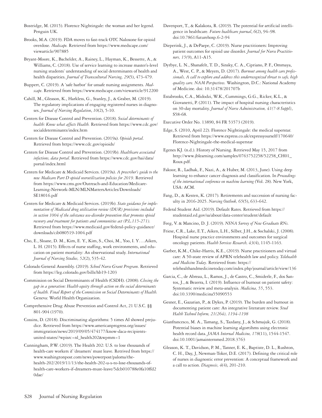Bostridge, M. (2015). Florence Nightingale: the woman and her legend. Penguin UK.

Brooks, M.A. (2019). FDA moves to fast-track OTC Naloxone for opioid overdose. *Medscape.* Retrieved from https://www.medscape.com/ viewarticle/907885

Bryant-Moore, K., Bachelder, A., Rainey, L., Hayman, K., Bessette, A., & Williams, C. (2018). Use of service learning to increase master's-level nursing students' understanding of social determinants of health and health disparities. *Journal of Transcultural Nursing, 29*(5), 473-479.

Buppert, C. (2019). A 'safe harbor' for unsafe nursing assignments. *Medscape*. Retrieved from https://www.medscape.com/viewarticle/912200

Cahill, M., Gleason, K., Harkless, G., Stanley, J., & Graber, M. (2019). The regulatory implications of engaging registered nurses in diagnoses. *Journal of Nursing Regulation*, *10*(2), 5-10.

Centers for Disease Control and Prevention. (2018). *Social determinants of health: Know what affects Health.* Retrieved from https://www.cdc.gov/ socialdeterminants/index.htm

Centers for Disease Control and Prevention. (2019a). *Opioids portal.*  Retrieved from https://www.cdc.gov/opioids/

Centers for Disease Control and Prevention. (2019b). *Healthcare associated infections, data portal*. Retrieved from https://www.cdc.gov/hai/data/ portal/index.html

Centers for Medicare & Medicaid Services. (2019a). *A prescriber's guide to the new Medicare Part D opioid overutilization policies for 2019*. Retrieved from https://www.cms.gov/Outreach-and-Education/Medicare-Learning-Network-MLN/MLNMattersArticles/Downloads/ SE18016.pdf

Centers for Medicare & Medicaid Services. (2019b). *State guidance for implementation of Medicaid drug utilization review (DUR) provisions included in section 1004 of the substance use-disorder prevention that promotes opioid recovery and treatment for patients and communities act (P.L.115-271).* Retrieved from https://www.medicaid.gov/federal-policy-guidance/ downloads/cib080519-1004.pdf

Cho, E., Sloane, D. M., Kim, E. Y., Kim, S., Choi, M., Yoo, I. Y….Aiken, L. H. (2015). Effects of nurse staffing, work environments, and education on patient mortality: An observational study. *International Journal of Nursing Studies, 52*(2), 535-42.

Colorado General Assembly. (2019). *School Nurse Grant Program*. Retrieved from https://leg.colorado.gov/bills/hb19-1203

Commission on Social Determinants of Health (CSDH). (2008). *Closing the gap in a generation: Health equity through action on the social determinants of health. Final Report of the Commission on Social Determinants of Health.* Geneva: World Health Organization.

Comprehensive Drug Abuse Prevention and Control Act, 21 U.S.C. §§ 801-904 (1970).

Cossins, D. (2018). Discriminating algorithms: 5 times AI showed prejudice. Retrieved from https://www.americanprogress.org/issues/ immigration/news/2019/09/05/474177/know-daca-recipientsunited-states/?wpisrc=nl\_health202&wpmm=1

Cunningham, P.W. (2019). The Health 202: U.S. to lose thousands of health-care workers if 'dreamers' must leave. Retrived from https:// www.washingtonpost.com/news/powerpost/paloma/thehealth-202/2019/11/13/the-health-202-u-s-to-lose-thousands-ofhealth-care-workers-if-dreamers-must-leave/5dcb010788e0fa10ffd2 0dae/

Davenport, T., & Kalakota, R. (2019). The potential for artificial intelligence in healthcare. *Future healthcare journal*, *6*(2), 94–98. doi:10.7861/futurehosp.6-2-94

Dieperink, J., & DePaepe, C. (2019). Nurse practitioners: Improving patient outcomes for opioid use disorder. *Journal for Nurse Practitioners, 15(*9), A11-A15.

Dyrbye, L. N., Shanafelt, T. D., Sinsky, C. A., Cipriano, P. F., Ommaya, A., West, C. P., & Meyers, D. (2017). *Burnout among health care professionals, A call to explore and address this underrecognized threat to safe, high quality care*. *NAM Perspectives.* Washington, D.C.: National Academy of Medicine. doi: 10.31478/201707b

Estabrooks, C.A., Midodzi, W.K., Cummings, G.G., Ricker, K.L., & Giovanetti, P. (2011). The impact of hospital nursing characteristics on 30-day mortality. *Journal of Nurse Administration, 41(7-8 Suppl)*, S58-68.

Executive Order No. 13890, 84 FR 53573 (2019).

Edge, S. (2010, April 22). Florence Nightingale: the medical superstar. Retrieved from https://www.express.co.uk/expressyourself/170640/ Florence-Nightingale-the-medical-superstar

Egenes KJ. (n.d.). History of Nursing. Retrieved May 15, 2017 from http://www.jblearning.com/samples/0763752258/52258\_CH01\_ Roux.pdf.

Fakoor, R., Ladhak, F., Nazi, A., & Huber, M. (2013, June). Using deep learning to enhance cancer diagnosis and classification. In *Proceedings of the international conference on machine learning* (Vol. 28). New York, USA: ACM.

Fang, D., & Kesten, K. (2017). Retirements and succession of nursing faculty in 2016-2025. *Nursing Outlook, 65*(5), 633-642.

Federal Student Aid. (2019). Default Rates. Retrieved from https:// studentaid.ed.gov/sa/about/data-center/student/default

Feeg, V. & Mancino, D. J. (2019). *NSNA Survey of New Graduate RNs.*

Friese, C.R., Lake, E.T., Aiken, L.H., Silber, J.H., & Sochalski, J. (2008). Hospital nurse practice environments and outcomes for surgical oncology patients. *Health Services Research, 43*(4), 1145-1163.

Garber, K.M., Chike-Harris, K.E., (2019). Nurse practitioners and virtual care: A 50-state review of APRN telehealth law and policy. *Telehealth and Medicine Today*. Retrieved from: https:// telehealthandmedicinetoday.com/index.php/journal/article/view/136

Garcia, C., de Abreau, L., Ramos, J., de Castro, C., Smiderle, F., dos Santos, J., & Bezerra, I. (2019). Influence of burnout on patient safety: Systematic review and meta-analysis. *Medicina, 55*, 553. doi:10.3390/medicina55090553

Gesner, E., Gazarian, P., & Dykes, P. (2019). The burden and burnout in documenting patient care: An integrative literature review. *Stud Halth Technol Inform, 21(264), 1194-1198*

Gianfrancesco, M. A., Tamang, S., Tazdany, J., & Schmajuk, G. (2018). Potential biases in machine learning algortihms using electronic health record data. *JAMA Internal Medicine, 178*(11), 1544-1547. doi:10.1001/jamainternmed.2018.3763

Gleason, K. T., Davidson, P. M., Tanner, E. K., Baptiste, D. L., Rushton, C. H., Day, J, Newman-Toker, D.E. (2017). Defining the critical role of nurses in diagnostic error prevention: A conceptual framework and a call to action. *Diagnosis, 4*(4), 201-210.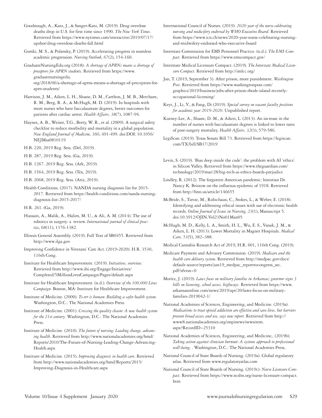- Goodnough, A., Katz, J., & Sanger-Katz, M. (2019). Drug overdose deaths drop in U.S. for first time since 1990. *The New York Times*. Retrieved from https://www.nytimes.com/interactive/2019/07/17/ upshot/drug-overdose-deaths-fall.html
- Gorski, M. S., & Polansky, P. (2019). Accelerating progress in seamless academic progression. *Nursing Outlook, 67*(2), 154-160.
- GraduateNursingEdu.org (2018). *A shortage of APRNs means a shortage of preceptors for APRN students.* Retrieved from https://www. graduatenursingedu. org/2018/06/a-shortage-of-aprns-means-a-shortage-of-preceptors-foraprn-students/
- Harrison, J. M., Aiken, L. H., Sloane, D. M., Carthon, J. M. B., Merchant, R. M., Berg, R. A., & McHugh, M. D. (2019). In hospitals with more nurses who have baccalaureate degrees, better outcomes for patients after cardiac arrest. *Health Affairs, 38*(7), 1087-94.
- Haynes, A. B., Weiser, T.G., Berry, W. R., et al. (2009). A surgical safety checklist to reduce morbidity and mortality in a global population. *New England Journal of Medicine, 360*, 491-499. doi:DOI: 10.1056/ NEJMsa0810119
- H.B. 220, 2019 Reg. Sess. (Del, 2019).
- H.B. 287, 2019 Reg. Sess. (Ga, 2019).
- H.B. 1267. 2019 Reg. Sess. (Ark, 2019).
- H.B. 1564, 2019 Reg. Sess. (Tex, 2019).
- H.B. 2068, 2019 Reg. Sess. (Ariz, 2019).
- Health Conditions. (2017). NANDA nursing diagnosis list for 2015- 2017. Retrieved from https://health-conditions.com/nanda-nursingdiagnosis-list-2015-2017/
- H.R. 261. (Ga, 2019).
- Hussain, A., Malik, A., Halim, M. U., & Ali, A. M. (2014). The use of robotics in surgery: a review. *International journal of clinical practice*, *68*(11), 1376-1382.
- Illinois General Assembly. (2019). Full Text of SB0455. Retrieved from http://www.ilga.gov
- Improving Confidence in Veterans' Care Act. (2019-2020). H.R. 3530, 116th Cong.
- Institute for Healthcare Improvement. (2019). *Initiatives, overview*. Retrieved from http://www.ihi.org/Engage/Initiatives/ Completed/5MillionLivesCampaign/Pages/default.aspx
- Institute for Healthcare Improvement. (n.d.). *Overview of the 100,000 Lives Campaign.* Boston, MA: Institute for Healthcare Improvement.
- Institute of Medicine. (2000). *To err is human: Building a safer health system.* Washington, D.C.: The National Academies Press.
- Institute of Medicine. (2001). *Crossing the quality chasm: A new health system for the 21st century*. Washington, D.C.: The National Academies Press.
- Institute of Medicine. (2010). *The future of nursing: Leading change, advancing health*. Retrieved from http://www.nationalacademies.org/hmd/ Reports/2010/The-Future-of-Nursing-Leading-Change-Advancing-Health.aspx
- Institute of Medicine. (2015). *Improving diagnosis in health care*. Retrieved from http://www.nationalacademies.org/hmd/Reports/2015/ Improving-Diagnosis-in-Healthcare.aspx
- International Council of Nurses. (2019). *2020 year of the nurse celebrating nursing and midwifery endorsed by WHO Executive Board*. Retrieved from https://www.icn.ch/news/2020-year-nurse-celebrating-nursingand-midwifery-endorsed-who-executive-board
- Interstate Commission for EMS Personnel Practice. (n.d.). *The EMS Compact*. Retrieved from https://www.emscompact.gov/
- Interstate Medical Licensure Compact. (2019). *The Interstate Medical Licensure Compact*. Retrieved from http://imlcc.org/
- Jan, T. (2019, September 3). After prison, more punishment. *Washington Post*. Retrieved from https://www.washingtonpost.com/ graphics/2019/business/jobs-after-prison-rhode-island-recentlyoccupational-licensing/
- Keyt, J., Li, Y., & Fang, Di (2019). *Special survey on vacant faculty positions for academic year 2019-2020*. Unpublished report.
- Kutney-Lee, A., Sloane, D. M., & Aiken, L. (2013). An increase in the number of nurses with baccalaureate degrees is linked to lower rates of post-surgery mortality. *Health Affairs, 32*(3), 579-586.
- LegiScan. (2019). Texas Senate Bill 73. Retrieved from https://legiscan. com/TX/bill/SB37/2019
- Levin, S. (2019). 'Bias deep inside the code': the problem with AI 'ethics' in Silicon Valley. Retrieved from https://www.theguardian.com/ technology/2019/mar/28/big-tech-ai-ethics-boards-prejudice
- Lindley, R. (2012). The forgotten American pandemic: historian Dr. Nancy K. Bristow on the influenza epidemic of 1918. Retrieved from http://hnn.us/article/146655
- McBride, S., Tietze, M., Robichaux, C., Stokes, L., & Weber, E. (2018). Identifying and addressing ethical issues with use of electronic health records. *Online Journal of Issues in Nursing, 23*(1), Manuscript 5. doi:10.3912/OJIN.Vol23No01Man05
- McHugh, M. D., Kelly, L. A., Smith, H. L., Wu, E. S., Vanak, J. M., & Aiken, L. H. (2013). Lower Mortality in Magnet Hospitals. *Medical Care, 51*(5), 382–388.
- Medical Cannabis Research Act of 2019, H.R. 601, 116th Cong. (2019).
- Medicare Payment and Advisory Commission. (2019). *Medicare and the health care delivery system.* Retrieved from http://medpac.gov/docs/ default-source/reports/jun19\_medpac\_reporttocongress\_sec. pdf?sfvrsn=0
- Moritz, J. (2019). *Laws focus on military families in Arkansas; governor signs 3 bills on licensing, school access, highways*. Retrieved from https://www. arkansasonline.com/news/2019/apr/20/laws-focus-on-militaryfamilies-2019042-1/
- National Academies of Sciences, Engineering, and Medicine. (2019a). *Medications to treat opioid addiction are effective and save lives, but barriers prevent broad access and use, says new report.* Retrieved from http:// www8.nationalacademies.org/onpinews/newsitem. aspx?RecordID=25310
- National Academies of Sciences, Engineering, and Medicine,. (2019b). *Taking action against clinician burnout: A systems approach to professional well-being,* . Washington, D.C.: The National Academies Press.
- National Council of State Boards of Nursing. (2019a). Global regulatory atlas. Retrieved from www.regulatoryatlas.com
- National Council of State Boards of Nursing. (2019c). *Nurse Licensure Compact*. Retrieved from https://www.ncsbn.org/nurse-licensure-compact. htm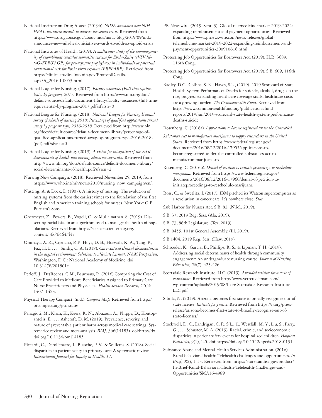- National Institute on Drug Abuse. (2019b). *NIDA announces new NIH HEAL initiative awards to address the opioid crisis.* Retrieved from https://www.drugabuse.gov/about-nida/noras-blog/2019/09/nidaannounces-new-nih-heal-initiative-awards-to-address-opioid-crisis
- National Institutes of Health. (2019). *A multicenter study of the immunogenicity of recombinant vesicular stomatitis vaccine for Ebola-Zaire (rVSVdeltaG-ZEBOV GP) for pre-exposure prophylaxis in individuals at potential occupational risk for Ebola virus exposure (PREPARE).* Retrieved from https://clinicalstudies.info.nih.gov/ProtocolDetails. aspx?A\_2016-I-0053.html
- National League for Nursing. (2017). *Faculty vacancies (Full time equivalents) by program, 2017.* Retrieved from http://www.nln.org/docs/ default-source/default-document-library/faculty-vacancies-(full-timeequivalents)-by-program-2017.pdf?sfvrsn=0
- National League for Nursing. (2018). *National League for Nursing biennial survey of schools of nursing 2018: Percentage of qualified applications turned away by program type, 2016-2018.* Retrieved from http://www.nln. org/docs/default-source/default-document-library/percentage-ofqualified-applications-turned-away-by-program-type-2016-2018-  $(\text{pdf}).\text{pdf?sfvrsn}=0$
- National League for Nursing. (2019). *A vision for integration of the social determinants of health into nursing education curricula.* Retrieved from http://www.nln.org/docs/default-source/default-document-library/ social-determinants-of-health.pdf?sfvrsn=2
- Nursing Now Campaign. (2018). Retrieved November 25, 2019, from https://www.who.int/hrh/news/2018/nursing\_now\_campaign/en/.
- Nutting, A. & Dock, L. (1907). A history of nursing: The evolution of nursing systems from the earliest times to the foundation of the first English and American training schools for nurses. New York: G.P. Putnam's Sons.
- Obermeyer, Z., Powers, B., Vogeli, C., & Mullainathan, S. (2019). Dissecting racial bias in an algorithm used to manage the health of populations. Retrieved from https://science.sciencemag.org/ content/366/6464/447
- Ommaya, A. K., Cipriano, P. F., Hoyt, D. B., Horvath, K. A., Tang, P., Paz, H. L., . . . Sinsky, C. A. (2018). *Care-centered clinical documentation in the digital environment: Solutions to alleviate burnout. NAM Perspectives.* Washington, D.C.: National Academy of Medicine. doi: 10.31478/201801c
- Perloff, J., DesRoches, C.M., Beurhaus, P., (2016) Comparing the Cost of Care Provided to Medicare Beneficiaries Assigned to Primary Care Nurse Practitioners and Physicians, *Health Services Research, 51*(4): 1407–1423.
- Physical Therapy Compact. (n.d.). *Compact Map.* Retrieved from http:// ptcompact.org/ptc-states
- Panagioti, M., Khan, K., Keers, R. N., Abuzour, A., Phipps, D., Kontopantelis, E., . . . Ashcroft, D. M. (2019). Prevalence, severity, and nature of preventable patient harm across medical care settings: Systematiec review and meta-analysis. *BMJ, 366*(14185). doi:http://dx. doi.org/10.1136/bmj14185
- Piccardi, C., Detollenaere, J., Bussche, P. V., & Willems, S. (2018). Social disparities in patient safety in primary care: A systematic review. *International Journal for Equity in Health, 17*.
- PR Newswire. (2019, Sept. 3). Global telemedicine market 2019-2022: expanding reimbursement and payment opportunities. Retrieved from https://www.prnewswire.com/news-releases/globaltelemedicine-market-2019-2022-expanding-reimbursement-andpayment-opportunities-300910616.html
- Protecting Job Opportunities for Borrowers Act. (2019). H.R. 3689, 116th Cong.
- Protecting Job Opportunities for Borrowers Act. (2019). S.B. 609, 116th Cong.
- Radley, D.C., Collins, S. R., Hayes, S.L., (2019). 2019 Scorecard of State Health System Performance: Deaths for suicide, alcohol, drugs on the rise; progress expanding healthcare coverage stalls; healthcare costs are a growing burden. *The Commonwealth Fund*. Retrieved from: https://www.commonwealthfund.org/publications/fundreports/2019/jun/2019-scorecard-state-health-system-performancedeaths-suicide
- Rosenberg, C. (2016a). *Applications to become registered under the Controlled*
- *Substances Act to manufacture marijuana to supply researchers in the United States.* Retrieved from https://www.federalregister.gov/ documents/2016/08/12/2016-17955/applications-tobecomeregistered-under-the-controlled-substances-act-tomanufacturemarijuana-to
- Rosenberg, C. (2016b). *Denial of petition to initiate proceedings to reschedule marijuana.* Retrieved from https://www.federalregister.gov/ documents/2016/08/12/2016-17960/denial-of-petition-toinitiateproceedings-to-reschedule-marijuana
- Ross, C., & Swetlitz, I. (2017). IBM pitched its Watson supercomputer as a revolution in cancer care. It's nowhere close. *Stat*.
- Safe Harbor for Nurses Act, S.B. 82. (N.M., 2019).
- S.B. 37, 2019 Reg. Sess. (Ala, 2019).
- S.B. 73, 86th Legislature. (Tex, 2019).
- S.B. 0455, 101st General Assembly. (Ill, 2019).
- S.B.1404, 2019 Reg. Sess. (Haw, 2019).
- Schroeder, K., Garcia, B., Phillips, R. S., & Lipman, T. H. (2019). Addressing social determinants of health through community engagement: An undergraduate nursing course. *Journal of Nursing Education, 58*(7), 423-426.
- Scottsdale Research Institute, LLC. (2019). *Amended petition for a writ of mandamus*. Retrieved from http://www.yettercoleman.com/ wp-content/uploads/2019/08/In-re-Scottsdale-Research-Institute-LLC.pdf
- Sibilla, N. (2019). Arizona becomes first state to broadly recognize out-ofstate license. *Institute for Justice*. Retrieved from https://ij.org/pressrelease/arizona-becomes-first-state-to-broadly-recognize-out-ofstate-licenses/
- Stockwell, D. C., Landrigan, C. P., S.L., T., Westfall, M. Y., Liu, S., Parry, G., . . . Schuster, M. A. (2019). Racial, ethnic, and socioeconomic disparities in patient safety events for hospitalized children. *Hospital Pediatrics, 9*(1), 1-5. doi:https://doi.org/10.1542/hpeds.2018-0131
- Substance Abuse and Mental Health Services Administration. (2016). Rural behavioral health: Telehealth challenges and opportunities. *In Brief*, *9*(2), 1-13. Retrieved from: https://store.samhsa.gov/product/ In-Brief-Rural-Behavioral-Health-Telehealth-Challenges-and-Opportunities/SMA16-4989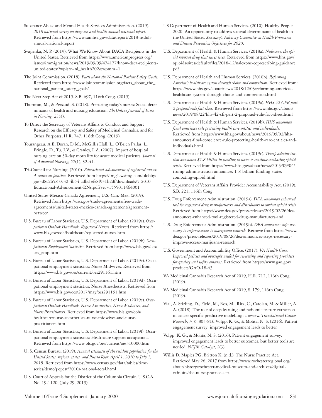- Substance Abuse and Mental Health Services Administration. (2019). *2018 national survey on drug use and health annual national report*. Retrieved from https://www.samhsa.gov/data/report/2018-nsduhannual-national-report
- Svajlenka, N. P. (2019). What We Know About DACA Recipients in the United States. Retrieved from https://www.americanprogress.org/ issues/immigration/news/2019/09/05/474177/know-daca-recipientsunited-states/?wpisrc=nl\_health202&wpmm=1
- The Joint Commission. (2018). *Facts about the National Patient Safety Goals.* Retrieved from https://www.jointcommission.org/facts\_about\_the\_ national\_patient\_safety\_goals/
- The Next Step Act of 2019. S.B. 697, 116th Cong. (2019).
- Thornton, M., & Persaud, S. (2018). Preparing today's nurses: Social determinants of health and nursing education. *The Online Journal of Issues in Nursing, 23*(3).
- To Direct the Secretary of Veterans Affairs to Conduct and Support Research on the Efficacy and Safety of Medicinal Cannabis, and for Other Purposes, H.R. 747, 116th Cong. (2019).
- Tourangeau, A.E, Doran, D.M., McGillis Hall, L., O'Brien Pallas, L., Pringle, D., Tu, J.V., & Cranley, L.A. (2007). Impact of hospital nursing care on 30-day mortality for acute medical patients. *Journal of Advanced Nursing, 57*(1), 32-41.
- Tri-Council for Nursing. (2010). *Educational advancement of registered nurses: A consensus position.* Retrieved from https://img1.wsimg.com/blobby/ go/3d8c2b58-0c32-4b54-adbd-efe8f931b2df/downloads/5-2010- Educational-Advancement-RNs.pdf?ver=1555011464001
- United States-Mexico-Canada Agreement, U.S.-Can.-Mex. (2019). Retrieved from https://ustr.gov/trade-agreements/free-tradeagreements/united-states-mexico-canada-agreement/agreementbetween
- U.S. Bureau of Labor Statistics, U.S. Department of Labor. (2019a). *Occupational Outlook Handbook. Registered Nurses*. Retrieved from https:// www.bls.gov/ooh/healthcare/registered-nurses.htm
- U.S. Bureau of Labor Statistics, U.S. Department of Labor. (2019b). *Occupational Employment Statistics.* Retrieved from http://www.bls.gov/oes/ oes\_emp.htm
- U.S. Bureau of Labor Statistics, U.S. Department of Labor. (2019c). Occupational employment statistics: Nurse Midwives. Retrieved from https://www.bls.gov/oes/current/oes291161.htm
- U.S. Bureau of Labor Statistics, U.S. Department of Labor. (2019d). Occupational employment statistics: Nurse Anesthetists. Retrieved from https://www.bls.gov/oes/2017/may/oes291151.htm
- U.S. Bureau of Labor Statistics, U.S. Department of Labor. (2019e). *Occupational Outlook Handbook. Nurse Anesthetists, Nurse Midwives, and Nurse Practitioners.* Retrieved from https://www.bls.gov/ooh/ healthcare/nurse-anesthetists-nurse-midwives-and-nursepractitioners.htm
- U.S. Bureau of Labor Statistics, U.S. Department of Labor. (2019f). Occupational employment statistics: Healthcare support occupations. Retrieved from https://www.bls.gov/oes/current/oes310000.htm
- U. S. Census Bureau. (2019). *Annual estimates of the resident population for the United States, regions, states, and Puerto Rico: April 1, 2010 to July 1, 2018.* Retrieved from https://www.census.gov/data/tables/timeseries/demo/popest/2010s-national-total.html
- U.S. Court of Appeals for the District of the Columbia Circuit. U.S.C.A. No. 19-1120, (July 29, 2019).
- US Department of Health and Human Services. (2010). Healthy People 2020: An opportunity to address societal determinants of health in the United States. *Secretary's Advisory Committee on Health Promotion and Disease Prevention Objectives for 2020*.
- U.S. Department of Health & Human Services. (2018a). *Naloxone: the opioid reversal drug that saves lives.* Retrieved from https://www.hhs.gov/ opioids/sites/default/files/2018-12/naloxone-coprescribing-guidance. pdf
- U.S. Department of Health and Human Services. (2018b). *Reforming America's healthcare system through choice and competition.* Retrieved from: https://www.hhs.gov/about/news/2018/12/03/reforming-americashealthcare-system-through-choice-and-competition.html
- U.S. Department of Health & Human Services. (2019a). *HHS 42 CFR part 2 proposed rule fact sheet.* Retrieved from https://www.hhs.gov/about/ news/2019/08/22/hhs-42-cfr-part-2-proposed-rule-fact-sheet.html
- U.S. Department of Health & Human Services. (2019b). *HHS announces final conscience rule protecting health care entities and individuals.*  Retrieved from https://www.hhs.gov/about/news/2019/05/02/hhsannounces-final-conscience-rule-protecting-health-care-entities-andindividuals.html
- U.S. Department of Health & Human Services. (2019c). *Trump administration announces \$1.8 billion in funding to states to continue combating opioid crisis*. Retrieved from https://www.hhs.gov/about/news/2019/09/04/ trump-administration-announces-1-8-billion-funding-statescombating-opioid.html
- U.S. Department of Veterans Affairs Provider Accountability Act. (2019). S.B. 221, 116th Cong.
- U.S. Drug Enforcement Administration. (2019a). *DEA announces enhanced tool for registered drug manufacturers and distributors to combat opioid crisis.* Retrieved from https://www.dea.gov/press-releases/2019/02/26/deaannounces-enhanced-tool-registered-drug-manufacturers-and
- U.S. Drug Enforcement Administration. (2019b). *DEA announces steps necessary to improve access to marijuana research.* Retrieve from https://www. dea.gov/press-releases/2019/08/26/dea-announces-steps-necessaryimprove-access-marijuana-research
- U.S. Government and Accountability Office. (2017). *VA Health Care: Improved policies and oversight needed for reviewing and reporting providers for quality and safety concerns*. Retrieved from https://www.gao.gov/ products/GAO-18-63
- VA Medicinal Cannabis Research Act of 2019, H.R. 712, 116th Cong. (2019).
- VA Medicinal Cannabis Research Act of 2019, S. 179, 116th Cong. (2019).
- Vial, A. Stirling, D., Field, M., Ros, M., Ritz, C., Carolan, M. & Miller, A. A. (2018). The role of deep learning and radiomic feature extraction in cancer-specific predictive modelling: a review. *Translational Cancer Research*, *7*(3), 803-816.Volpp, K. G., & Mohta, N. S. (2016). Patient engagement survey: improved engagement leads to better
- Volpp, K. G., & Mohta, N. S. (2016). Patient engagement survey: improved engagement leads to better outcomes, but better tools are needed. *NEJM Catalyst*, *2*(3).
- Willis D, Maples PG, Britton K. (n.d.). The Nurse Practice Act. Retrieved May 26, 2017 from https://www.rochesterregional.org/ about/history/rochester-medical-museum-and-archives/digitalexhibits/the-nurse-practice-act/.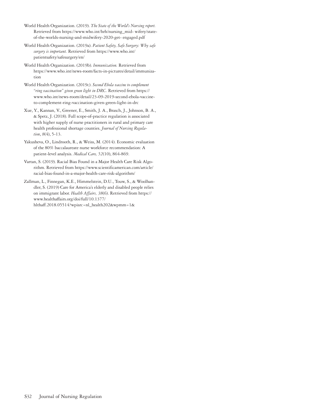- World Health Organization. (2019). *The State of the World's Nursing report.* Retrieved from https://www.who.int/hrh/nursing\_mid- wifery/stateof-the-worlds-nursing-and-midwifery-2020-get- engaged.pdf
- World Health Organization. (2019a). *Patient Safety, Safe Surgery: Why safe surgery is important.* Retrieved from https://www.who.int/ patientsafety/safesurgery/en/
- World Health Organization. (2019b). *Immunization.* Retrieved from https://www.who.int/news-room/facts-in-pictures/detail/immunization
- World Health Organization. (2019c). *Second Ebola vaccine to complement "ring vaccination" given green light in DRC.* Retrieved from https:// www.who.int/news-room/detail/23-09-2019-second-ebola-vaccineto-complement-ring-vaccination-given-green-light-in-drc
- Xue, Y., Kannan, V., Greener, E., Smith, J. A., Brasch, J., Johnson, B. A., & Spetz, J. (2018). Full scope-of-practice regulation is associated with higher supply of nurse practitioners in rural and primary care health professional shortage counties. *Journal of Nursing Regulation*, *8*(4), 5-13.
- Yakusheva, O., Lindrooth, R., & Weiss, M. (2014). Economic evaluation of the 80% baccalaureate nurse workforce recommendation: A patient-level analysis. *Medical Care, 52*(10), 864-869.
- Vartan, S. (2019). Racial Bias Found in a Major Health Care Risk Algorithm. Retrieved from https://www.scientificamerican.com/article/ racial-bias-found-in-a-major-health-care-risk-algorithm/
- Zallman, L., Finnegan, K.E., Himmelstein, D.U., Touw, S., & Woolhandler, S. (2019) Care for America's elderly and disabled people relies on immigrant labor. *Health Affairs, 38*(6). Retrieved from https:// www.healthaffairs.org/doi/full/10.1377/ hlthaff.2018.05514?wpisrc=nl\_health202&wpmm=1&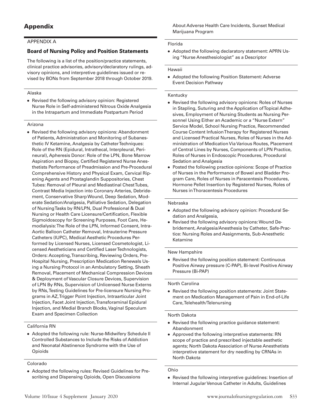## APPENDIX A

## **Board of Nursing Policy and Position Statements**

The following is a list of the position/practice statements, clinical practice advisories, advisory/declaratory rulings, advisory opinions, and interpretive guidelines issued or revised by BONs from September 2018 through October 2019.

#### Alaska

⦁ Revised the following advisory opinion: Registered Nurse Role in Self-administered Nitrous Oxide Analgesia in the Intrapartum and Immediate Postpartum Period

#### Arizona

⦁ Revised the following advisory opinions: Abandonment of Patients, Administration and Monitoring of Subanesthetic IV Ketamine, Analgesia by Catheter Techniques: Role of the RN (Epidural, Intrathecal, Interpleural, Perineural), Apheresis Donor: Role of the LPN, Bone Marrow Aspiration and Biopsy, Certified Registered Nurse Anesthetists Performance of Preadmission and Pre-Procedural Comprehensive History and Physical Exam, Cervical Ripening Agents and Prostaglandin Suppositories, Chest Tubes: Removal of Pleural and Mediastinal Chest Tubes, Contrast Media Injection into Coronary Arteries, Debridement, Conservative Sharp Wound, Deep Sedation, Moderate Sedation/Analgesia, Palliative Sedation, Delegation of Nursing Tasks by RN/LPN, Dual Professional & Dual Nursing or Health Care Licensure/Certification, Flexible Sigmoidoscopy for Screening Purposes, Foot Care, Hemodialysis: The Role of the LPN, Informed Consent, Intra-Aortic Balloon Catheter Removal, Intrauterine Pressure Catheters (IUPC), Medical Aesthetic Procedures Performed by Licensed Nurses, Licensed Cosmetologist, Licensed Aestheticians and Certified Laser Technologists, Orders: Accepting, Transcribing, Reviewing Orders, Pre-Hospital Nursing, Prescription Medication Renewals Using a Nursing Protocol in an Ambulatory Setting, Sheath Removal, Placement of Mechanical Compression Devices & Deployment of Vascular Closure Devices, Supervision of LPN By RNs, Supervision of Unlicensed Nurse Externs by RNs, Testing Guidelines for Pre-licensure Nursing Programs in AZ, Trigger Point Injection, Intraarticular Joint Injection, Facet Joint Injection, Transforaminal Epidural Injection, and Medial Branch Blocks, Vaginal Speculum Exam and Specimen Collection

## California RN

⦁ Adopted the following rule: Nurse-Midwifery Schedule II Controlled Substances to Include the Risks of Addiction and Neonatal Abstinence Syndrome with the Use of Opioids

#### Colorado

⦁ Adopted the following rules: Revised Guidelines for Prescribing and Dispensing Opioids, Open Discussions

About Adverse Health Care Incidents, Sunset Medical Marijuana Program

#### Florida

⦁ Adopted the following declaratory statement: APRN Using "Nurse Anesthesiologist" as a Descriptor

#### Hawaii

⦁ Adopted the following Position Statement: Adverse Event Decision Pathway

#### Kentucky

- ⦁ Revised the following advisory opinions: Roles of Nurses in Stapling, Suturing and the Application of Topical Adhesives, Employment of Nursing Students as Nursing Personnel Using Either an Academic or a "Nurse Extern" Service Model, School Nursing Practice, Recommended Course Content Infusion Therapy for Registered Nurses and Licensed Practical Nurses, Roles of Nurses in the Administration of Medication Via Various Routes, Placement of Central Lines by Nurses, Components of LPN Practice, Roles of Nurses in Endoscopic Procedures, Procedural Sedation and Analgesia
- ⦁ Posted the following practice opinions: Scope of Practice of Nurses in the Performance of Bowel and Bladder Program Care, Roles of Nurses in Paracentesis Procedures, Hormone Pellet Insertion by Registered Nurses, Roles of Nurses in Thoracentesis Procedures

#### Nebraska

- ⦁ Adopted the following advisory opinion: Procedural Sedation and Analgesia,
- ⦁ Revised the following advisory opinions: Wound Debridement, Analgesia/Anesthesia by Catheter, Safe-Practice: Nursing Roles and Assignments, Sub-Anesthetic Ketamine

#### New Hampshire

⦁ Revised the following position statement: Continuous Positive Airway pressure (C-PAP), Bi-level Positive Airway Pressure (Bi-PAP)

#### North Carolina

⦁ Revised the following position statements: Joint Statement on Medication Management of Pain in End-of-Life Care, Telehealth/Telenursing

#### North Dakota

- ⦁ Revised the following practice guidance statement: Abandonment
- ⦁ Approved the following interpretive statements: RN scope of practice and prescribed injectable aesthetic agents; North Dakota Association of Nurse Anesthetists interpretive statement for dry needling by CRNAs in North Dakota

Ohio

⦁ Revised the following interpretive guidelines: Insertion of Internal Jugular Venous Catheter in Adults, Guidelines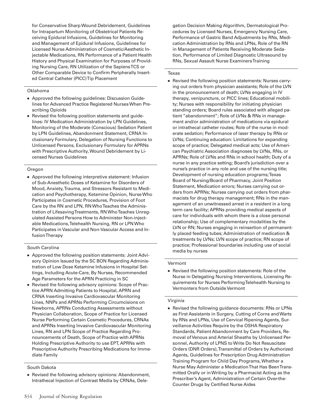for Conservative Sharp Wound Debridement, Guidelines for Intrapartum Monitoring of Obstetrical Patients Receiving Epidural Infusions, Guidelines for Monitoring and Management of Epidural Infusions, Guidelines for Licensed Nurse Administration of Cosmetic/Aesthetic Injectable Medications, RN Performance of a Patient Health History and Physical Examination for Purposes of Providing Nursing Care, RN Utilization of the Sapiens TCS or Other Comparable Device to Confirm Peripherally Inserted Central Catheter (PICC) Tip Placement

#### Oklahoma

- ⦁ Approved the following guidelines: Discussion Guidelines for Advanced Practice Registered Nurses When Prescribing Opioids
- ⦁ Revised the following position statements and guidelines: IV Medication Administration by LPN Guidelines, Monitoring of the Moderate (Conscious) Sedation Patient by LPN Guidelines, Abandonment Statement, CRNA Inclusionary Formulary, Delegation of Nursing Functions to Unlicensed Persons, Exclusionary Formulary for APRNs with Prescriptive Authority, Wound Debridement by Licensed Nurses Guidelines

## Oregon

⦁ Approved the following interpretive statement: Infusion of Sub-Anesthetic Doses of Ketamine for Disorders of Mood, Anxiety, Trauma, and Stressors Resistant to Medication and Psychotherapy, Ketamine Opinion, Nurse Who Participates in Cosmetic Procedures, Provision of Foot Care by the RN and LPN, RN Who Teaches the Administration of Lifesaving Treatments, RN Who Teaches Unregulated Assisted Persons How to Administer Non-injectable Medications, Telehealth Nursing, RN or LPN Who Participates in Vascular and Non-Vascular Access and Infusion Therapy

#### South Carolina

- ⦁ Approved the following position statements: Joint Advisory Opinion Issued by the SC BON Regarding Administration of Low Dose Ketamine Infusions in Hospital Settings, Including Acute-Care, By Nurses, Recommended Age Parameters for the APRN Practicing in SC
- ⦁ Revised the following advisory opinions: Scope of Practice APRN Admitting Patients to Hospital, APRN and CRNA Inserting Invasive Cardiovascular Monitoring Lines, NNPs and APRNs Performing Circumcisions on Newborns, APRNs Conducting Assessments without Physician Collaboration, Scope of Practice for Licensed Nurse Performing Certain Cosmetic Procedures, CRNAs and APRNs Inserting Invasive Cardiovascular Monitoring Lines, RN and LPN Scope of Practice Regarding Pronouncements of Death, Scope of Practice with APRNs Holding Prescriptive Authority to use EPT, APRNs with Prescriptive Authority Prescribing Medications for Immediate Family

## South Dakota

⦁ Revised the following advisory opinions: Abandonment, Intrathecal Injection of Contrast Media by CRNAs, Delegation Decision Making Algorithm, Dermatological Procedures by Licensed Nurses, Emergency Nursing Care, Performance of Gastric Band Adjustments by RNs, Medication Administration by RNs and LPNs, Role of the RN in Management of Patients Receiving Moderate Sedation, Performance of Limited Diagnostic Ultrasound by RNs, Sexual Assault Nurse Examiners Training

#### Texas

⦁ Revised the following position statements: Nurses carrying out orders from physician assistants; Role of the LVN in the pronouncement of death; LVNs engaging in IV therapy, venipuncture, or PICC lines; Educational mobility; Nurses with responsibility for initiating physician standing orders; Board rules associated with alleged patient "abandonment"; Role of LVNs & RNs in management and/or administration of medications via epidural or intrathecal catheter routes; Role of the nurse in moderate sedation; Performance of laser therapy by RNs or LVNs; Continuing education: Limitations for expanding scope of practice; Delegated medical acts; Use of American Psychiatric Association diagnoses by LVNs, RNs, or APRNs; Role of LVNs and RNs in school health; Duty of a nurse in any practice setting; Board's jurisdiction over a nurse's practice in any role and use of the nursing title; Development of nursing education programs; Texas Board of Nursing/Board of Pharmacy, Joint Position Statement, Medication errors; Nurses carrying out orders from APRNs; Nurses carrying out orders from pharmacists for drug therapy management; RNs in the management of an unwitnessed arrest in a resident in a long term care facility; APRNs providing medical aspects of care for individuals with whom there is a close personal relationship; Use of complementary modalities by the LVN or RN; Nurses engaging in reinsertion of permanently placed feeding tubes; Administration of medication & treatments by LVNs; LVN scope of practice; RN scope of practice; Professional boundaries including use of social media by nurses

#### Vermont

⦁ Revised the following position statements: Role of the Nurse in Delegating Nursing Interventions, Licensing Requirements for Nurses Performing Telehealth Nursing to Vermonters from Outside Vermont

## Virginia

⦁ Revised the following guidance documents: RNs or LPNs as First Assistants in Surgery, Cutting of Corns and Warts by RNs and LPNs, Use of Cervical Ripening Agents, Surveillance Activities Require by the OSHA Respiratory Standards, Patient Abandonment by Care Providers, Removal of Venous and Arterial Sheaths by Unlicensed Personnel, Authority of LPNS to Write Do Not Resuscitate Orders (DNR Orders), Transmittal of Orders by Authorized Agents, Guidelines for Prescription Drug Administration Training Program for Child Day Programs, Whether a Nurse May Administer a Medication That Has Been Transmitted Orally or in Writing by a Pharmacist Acting as the Prescriber's Agent, Administration of Certain Over-the-Counter Drugs by Certified Nurse Aides